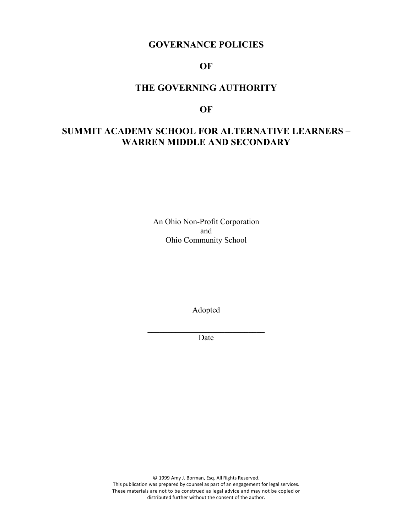# **GOVERNANCE POLICIES**

## **OF**

# **THE GOVERNING AUTHORITY**

### **OF**

# **SUMMIT ACADEMY SCHOOL FOR ALTERNATIVE LEARNERS – WARREN MIDDLE AND SECONDARY**

An Ohio Non-Profit Corporation and Ohio Community School

Adopted

 $\mathcal{L}_\text{max}$ Date

© 1999 Amy J. Borman, Esq. All Rights Reserved. This publication was prepared by counsel as part of an engagement for legal services. These materials are not to be construed as legal advice and may not be copied or distributed further without the consent of the author.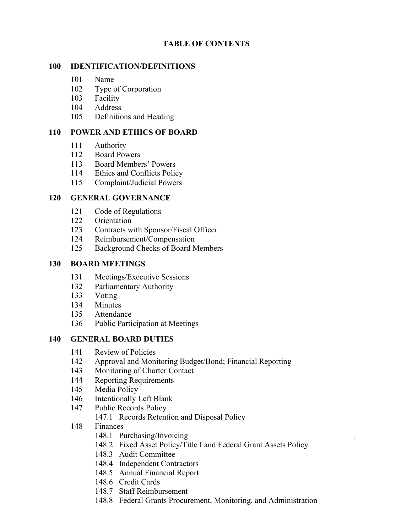## **TABLE OF CONTENTS**

### **IDENTIFICATION/DEFINITIONS**

- Name
- Type of Corporation
- Facility
- Address
- Definitions and Heading

### **POWER AND ETHICS OF BOARD**

- Authority
- Board Powers
- Board Members' Powers
- Ethics and Conflicts Policy
- Complaint/Judicial Powers

### **GENERAL GOVERNANCE**

- Code of Regulations
- Orientation
- Contracts with Sponsor/Fiscal Officer
- Reimbursement/Compensation
- Background Checks of Board Members

#### **BOARD MEETINGS**

- Meetings/Executive Sessions
- Parliamentary Authority
- Voting
- Minutes
- Attendance
- Public Participation at Meetings

#### **GENERAL BOARD DUTIES**

- Review of Policies
- Approval and Monitoring Budget/Bond; Financial Reporting
- Monitoring of Charter Contact
- Reporting Requirements
- Media Policy
- Intentionally Left Blank
- Public Records Policy
	- 147.1 Records Retention and Disposal Policy
- Finances
	- 148.1 Purchasing/Invoicing
	- 148.2 Fixed Asset Policy/Title I and Federal Grant Assets Policy

- 148.3 Audit Committee
- 148.4 Independent Contractors
- 148.5 Annual Financial Report
- 148.6 Credit Cards
- 148.7 Staff Reimbursement
- 148.8 Federal Grants Procurement, Monitoring, and Administration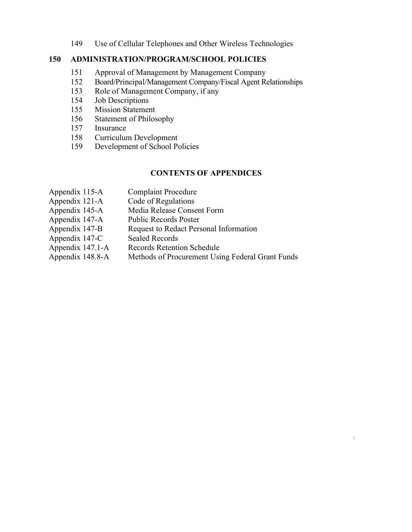149 Use of Cellular Telephones and Other Wireless Technologies

#### **150 ADMINISTRATION/PROGRAM/SCHOOL POLICIES**

- 151 Approval of Management by Management Company
- 152 Board/Principal/Management Company/Fiscal Agent Relationships
- 153 Role of Management Company, if any
- 154 Job Descriptions
- 155 Mission Statement
- 156 Statement of Philosophy
- 157 Insurance
- 158 Curriculum Development
- 159 Development of School Policies

#### **CONTENTS OF APPENDICES**

**i**

Appendix 115-A Complaint Procedure Appendix 121-A Code of Regulations Appendix 145-A Media Release Consent Form Appendix 147-A Public Records Poster Appendix 147-B Request to Redact Personal Information Appendix 147-C Sealed Records Appendix 147.1-A Records Retention Schedule Appendix 148.8-A Methods of Procurement Using Federal Grant Funds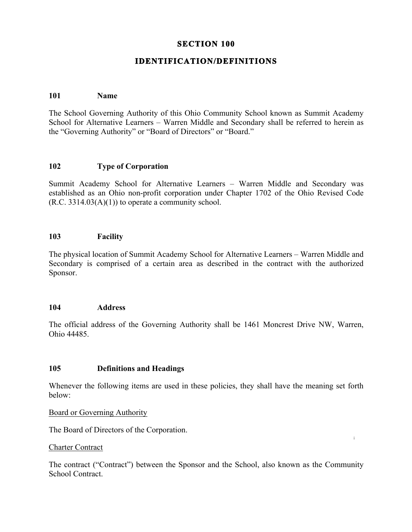## **SECTION 100**

## **IDENTIFICATION/DEFINITIONS**

#### **101 Name**

The School Governing Authority of this Ohio Community School known as Summit Academy School for Alternative Learners – Warren Middle and Secondary shall be referred to herein as the "Governing Authority" or "Board of Directors" or "Board."

### **102 Type of Corporation**

Summit Academy School for Alternative Learners – Warren Middle and Secondary was established as an Ohio non-profit corporation under Chapter 1702 of the Ohio Revised Code  $(R.C. 3314.03(A)(1))$  to operate a community school.

#### **103 Facility**

The physical location of Summit Academy School for Alternative Learners – Warren Middle and Secondary is comprised of a certain area as described in the contract with the authorized Sponsor.

#### **104 Address**

The official address of the Governing Authority shall be 1461 Moncrest Drive NW, Warren, Ohio 44485.

#### **105 Definitions and Headings**

Whenever the following items are used in these policies, they shall have the meaning set forth below:

Board or Governing Authority

The Board of Directors of the Corporation.

#### Charter Contract

The contract ("Contract") between the Sponsor and the School, also known as the Community School Contract.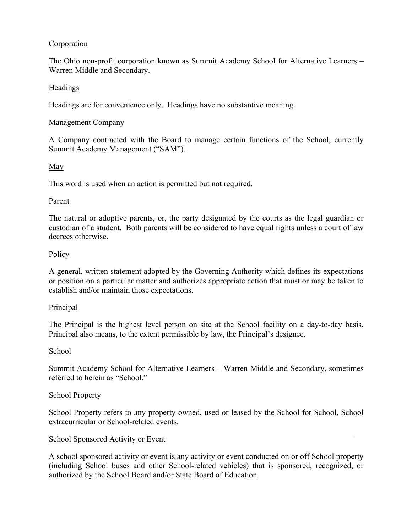### Corporation

The Ohio non-profit corporation known as Summit Academy School for Alternative Learners – Warren Middle and Secondary.

#### Headings

Headings are for convenience only. Headings have no substantive meaning.

#### Management Company

A Company contracted with the Board to manage certain functions of the School, currently Summit Academy Management ("SAM").

### May

This word is used when an action is permitted but not required.

#### Parent

The natural or adoptive parents, or, the party designated by the courts as the legal guardian or custodian of a student. Both parents will be considered to have equal rights unless a court of law decrees otherwise.

### Policy

A general, written statement adopted by the Governing Authority which defines its expectations or position on a particular matter and authorizes appropriate action that must or may be taken to establish and/or maintain those expectations.

#### Principal

The Principal is the highest level person on site at the School facility on a day-to-day basis. Principal also means, to the extent permissible by law, the Principal's designee.

#### School

Summit Academy School for Alternative Learners – Warren Middle and Secondary, sometimes referred to herein as "School."

#### School Property

School Property refers to any property owned, used or leased by the School for School, School extracurricular or School-related events.

**i**

#### School Sponsored Activity or Event

A school sponsored activity or event is any activity or event conducted on or off School property (including School buses and other School-related vehicles) that is sponsored, recognized, or authorized by the School Board and/or State Board of Education.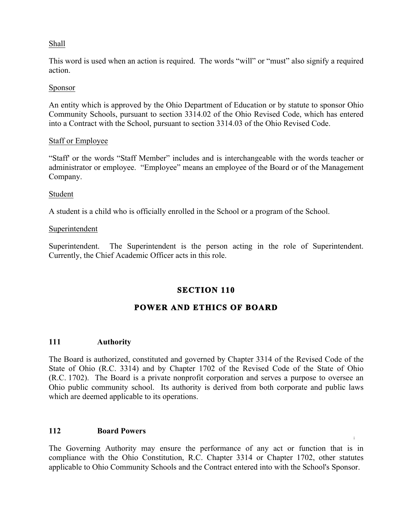### Shall

This word is used when an action is required. The words "will" or "must" also signify a required action.

#### Sponsor

An entity which is approved by the Ohio Department of Education or by statute to sponsor Ohio Community Schools, pursuant to section 3314.02 of the Ohio Revised Code, which has entered into a Contract with the School, pursuant to section 3314.03 of the Ohio Revised Code.

#### Staff or Employee

"Staff' or the words "Staff Member" includes and is interchangeable with the words teacher or administrator or employee. "Employee" means an employee of the Board or of the Management Company.

#### Student

A student is a child who is officially enrolled in the School or a program of the School.

#### Superintendent

Superintendent. The Superintendent is the person acting in the role of Superintendent. Currently, the Chief Academic Officer acts in this role.

## **SECTION 110**

# **POWER AND ETHICS OF BOARD**

#### **111 Authority**

The Board is authorized, constituted and governed by Chapter 3314 of the Revised Code of the State of Ohio (R.C. 3314) and by Chapter 1702 of the Revised Code of the State of Ohio (R.C. 1702). The Board is a private nonprofit corporation and serves a purpose to oversee an Ohio public community school. Its authority is derived from both corporate and public laws which are deemed applicable to its operations.

#### **112 Board Powers**

The Governing Authority may ensure the performance of any act or function that is in compliance with the Ohio Constitution, R.C. Chapter 3314 or Chapter 1702, other statutes applicable to Ohio Community Schools and the Contract entered into with the School's Sponsor.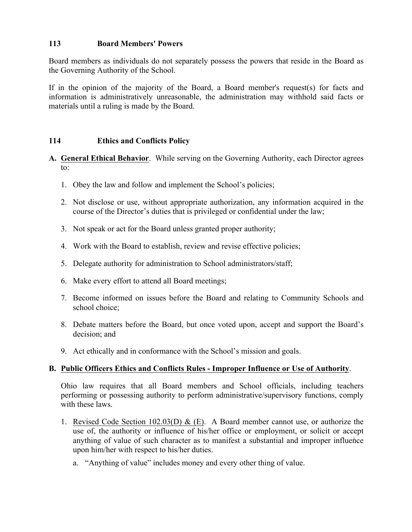## **113 Board Members' Powers**

Board members as individuals do not separately possess the powers that reside in the Board as the Governing Authority of the School.

If in the opinion of the majority of the Board, a Board member's request(s) for facts and information is administratively unreasonable, the administration may withhold said facts or materials until a ruling is made by the Board.

## **114 Ethics and Conflicts Policy**

- **A. General Ethical Behavior**. While serving on the Governing Authority, each Director agrees to:
	- 1. Obey the law and follow and implement the School's policies;
	- 2. Not disclose or use, without appropriate authorization, any information acquired in the course of the Director's duties that is privileged or confidential under the law;
	- 3. Not speak or act for the Board unless granted proper authority;
	- 4. Work with the Board to establish, review and revise effective policies;
	- 5. Delegate authority for administration to School administrators/staff;
	- 6. Make every effort to attend all Board meetings;
	- 7. Become informed on issues before the Board and relating to Community Schools and school choice;
	- 8. Debate matters before the Board, but once voted upon, accept and support the Board's decision; and
	- 9. Act ethically and in conformance with the School's mission and goals.

# **B. Public Officers Ethics and Conflicts Rules - Improper Influence or Use of Authority**.

Ohio law requires that all Board members and School officials, including teachers performing or possessing authority to perform administrative/supervisory functions, comply with these laws.

- anything of value of such character as to manifest a substantial and improper influence 1. Revised Code Section 102.03(D) & (E). A Board member cannot use, or authorize the use of, the authority or influence of his/her office or employment, or solicit or accept upon him/her with respect to his/her duties.
	- a. "Anything of value" includes money and every other thing of value.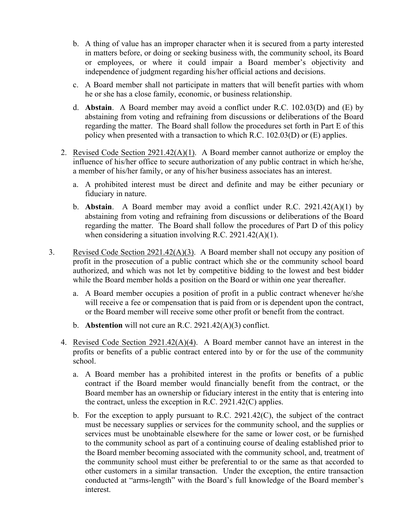- b. A thing of value has an improper character when it is secured from a party interested in matters before, or doing or seeking business with, the community school, its Board or employees, or where it could impair a Board member's objectivity and independence of judgment regarding his/her official actions and decisions.
- c. A Board member shall not participate in matters that will benefit parties with whom he or she has a close family, economic, or business relationship.
- d. **Abstain**. A Board member may avoid a conflict under R.C. 102.03(D) and (E) by abstaining from voting and refraining from discussions or deliberations of the Board regarding the matter. The Board shall follow the procedures set forth in Part E of this policy when presented with a transaction to which R.C. 102.03(D) or (E) applies.
- 2. Revised Code Section 2921.42(A)(1). A Board member cannot authorize or employ the influence of his/her office to secure authorization of any public contract in which he/she, a member of his/her family, or any of his/her business associates has an interest.
	- a. A prohibited interest must be direct and definite and may be either pecuniary or fiduciary in nature.
	- b. **Abstain**. A Board member may avoid a conflict under R.C. 2921.42(A)(1) by abstaining from voting and refraining from discussions or deliberations of the Board regarding the matter. The Board shall follow the procedures of Part D of this policy when considering a situation involving R.C. 2921.42(A)(1).
- 3. Revised Code Section 2921.42(A)(3). A Board member shall not occupy any position of profit in the prosecution of a public contract which she or the community school board authorized, and which was not let by competitive bidding to the lowest and best bidder while the Board member holds a position on the Board or within one year thereafter.
	- a. A Board member occupies a position of profit in a public contract whenever he/she will receive a fee or compensation that is paid from or is dependent upon the contract, or the Board member will receive some other profit or benefit from the contract.
	- b. **Abstention** will not cure an R.C. 2921.42(A)(3) conflict.
	- 4. Revised Code Section 2921.42(A)(4). A Board member cannot have an interest in the profits or benefits of a public contract entered into by or for the use of the community school.
		- a. A Board member has a prohibited interest in the profits or benefits of a public contract if the Board member would financially benefit from the contract, or the Board member has an ownership or fiduciary interest in the entity that is entering into the contract, unless the exception in R.C. 2921.42(C) applies.
		- **i** to the community school as part of a continuing course of dealing established prior to b. For the exception to apply pursuant to R.C. 2921.42(C), the subject of the contract must be necessary supplies or services for the community school, and the supplies or services must be unobtainable elsewhere for the same or lower cost, or be furnished the Board member becoming associated with the community school, and, treatment of the community school must either be preferential to or the same as that accorded to other customers in a similar transaction. Under the exception, the entire transaction conducted at "arms-length" with the Board's full knowledge of the Board member's interest.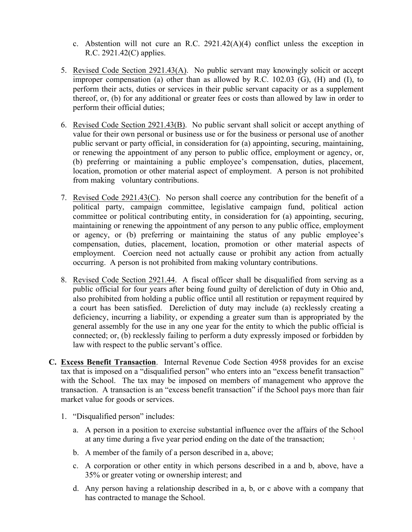- c. Abstention will not cure an R.C.  $2921.42(A)(4)$  conflict unless the exception in R.C. 2921.42(C) applies.
- 5. Revised Code Section 2921.43(A). No public servant may knowingly solicit or accept improper compensation (a) other than as allowed by R.C. 102.03 (G), (H) and (I), to perform their acts, duties or services in their public servant capacity or as a supplement thereof, or, (b) for any additional or greater fees or costs than allowed by law in order to perform their official duties;
- 6. Revised Code Section 2921.43(B). No public servant shall solicit or accept anything of value for their own personal or business use or for the business or personal use of another public servant or party official, in consideration for (a) appointing, securing, maintaining, or renewing the appointment of any person to public office, employment or agency, or, (b) preferring or maintaining a public employee's compensation, duties, placement, location, promotion or other material aspect of employment. A person is not prohibited from making voluntary contributions.
- 7. Revised Code 2921.43(C). No person shall coerce any contribution for the benefit of a political party, campaign committee, legislative campaign fund, political action committee or political contributing entity, in consideration for (a) appointing, securing, maintaining or renewing the appointment of any person to any public office, employment or agency, or (b) preferring or maintaining the status of any public employee's compensation, duties, placement, location, promotion or other material aspects of employment. Coercion need not actually cause or prohibit any action from actually occurring. A person is not prohibited from making voluntary contributions.
- 8. Revised Code Section 2921.44. A fiscal officer shall be disqualified from serving as a public official for four years after being found guilty of dereliction of duty in Ohio and, also prohibited from holding a public office until all restitution or repayment required by a court has been satisfied. Dereliction of duty may include (a) recklessly creating a deficiency, incurring a liability, or expending a greater sum than is appropriated by the general assembly for the use in any one year for the entity to which the public official is connected; or, (b) recklessly failing to perform a duty expressly imposed or forbidden by law with respect to the public servant's office.
- **C. Excess Benefit Transaction**. Internal Revenue Code Section 4958 provides for an excise tax that is imposed on a "disqualified person" who enters into an "excess benefit transaction" with the School. The tax may be imposed on members of management who approve the transaction. A transaction is an "excess benefit transaction" if the School pays more than fair market value for goods or services.
	- 1. "Disqualified person" includes:
		- **i** a. A person in a position to exercise substantial influence over the affairs of the School at any time during a five year period ending on the date of the transaction;
		- b. A member of the family of a person described in a, above;
		- c. A corporation or other entity in which persons described in a and b, above, have a 35% or greater voting or ownership interest; and
		- d. Any person having a relationship described in a, b, or c above with a company that has contracted to manage the School.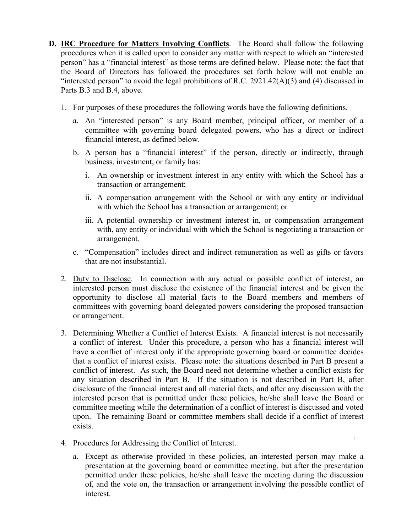- **D. IRC Procedure for Matters Involving Conflicts**. The Board shall follow the following procedures when it is called upon to consider any matter with respect to which an "interested person" has a "financial interest" as those terms are defined below. Please note: the fact that the Board of Directors has followed the procedures set forth below will not enable an "interested person" to avoid the legal prohibitions of R.C. 2921.42( $A$ )(3) and (4) discussed in Parts B.3 and B.4, above.
	- 1. For purposes of these procedures the following words have the following definitions.
		- a. An "interested person" is any Board member, principal officer, or member of a committee with governing board delegated powers, who has a direct or indirect financial interest, as defined below.
		- b. A person has a "financial interest" if the person, directly or indirectly, through business, investment, or family has:
			- i. An ownership or investment interest in any entity with which the School has a transaction or arrangement;
			- ii. A compensation arrangement with the School or with any entity or individual with which the School has a transaction or arrangement; or
			- iii. A potential ownership or investment interest in, or compensation arrangement with, any entity or individual with which the School is negotiating a transaction or arrangement.
		- c. "Compensation" includes direct and indirect remuneration as well as gifts or favors that are not insubstantial.
	- 2. Duty to Disclose. In connection with any actual or possible conflict of interest, an interested person must disclose the existence of the financial interest and be given the opportunity to disclose all material facts to the Board members and members of committees with governing board delegated powers considering the proposed transaction or arrangement.
	- 3. Determining Whether a Conflict of Interest Exists. A financial interest is not necessarily a conflict of interest. Under this procedure, a person who has a financial interest will have a conflict of interest only if the appropriate governing board or committee decides that a conflict of interest exists. Please note: the situations described in Part B present a conflict of interest. As such, the Board need not determine whether a conflict exists for any situation described in Part B. If the situation is not described in Part B, after disclosure of the financial interest and all material facts, and after any discussion with the interested person that is permitted under these policies, he/she shall leave the Board or committee meeting while the determination of a conflict of interest is discussed and voted upon. The remaining Board or committee members shall decide if a conflict of interest exists.
	- 4. Procedures for Addressing the Conflict of Interest.
		- a. Except as otherwise provided in these policies, an interested person may make a presentation at the governing board or committee meeting, but after the presentation permitted under these policies, he/she shall leave the meeting during the discussion of, and the vote on, the transaction or arrangement involving the possible conflict of interest.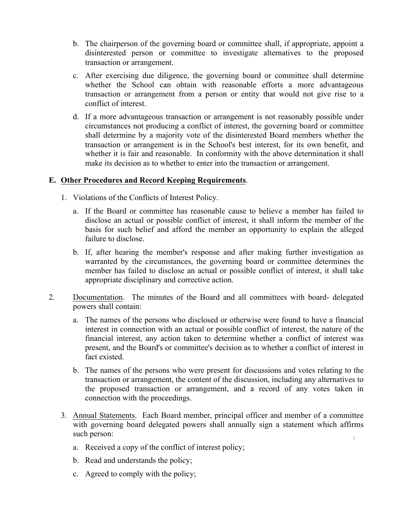- b. The chairperson of the governing board or committee shall, if appropriate, appoint a disinterested person or committee to investigate alternatives to the proposed transaction or arrangement.
- c. After exercising due diligence, the governing board or committee shall determine whether the School can obtain with reasonable efforts a more advantageous transaction or arrangement from a person or entity that would not give rise to a conflict of interest.
- d. If a more advantageous transaction or arrangement is not reasonably possible under circumstances not producing a conflict of interest, the governing board or committee shall determine by a majority vote of the disinterested Board members whether the transaction or arrangement is in the School's best interest, for its own benefit, and whether it is fair and reasonable. In conformity with the above determination it shall make its decision as to whether to enter into the transaction or arrangement.

## **E. Other Procedures and Record Keeping Requirements**.

- 1. Violations of the Conflicts of Interest Policy.
	- a. If the Board or committee has reasonable cause to believe a member has failed to disclose an actual or possible conflict of interest, it shall inform the member of the basis for such belief and afford the member an opportunity to explain the alleged failure to disclose.
	- b. If, after hearing the member's response and after making further investigation as warranted by the circumstances, the governing board or committee determines the member has failed to disclose an actual or possible conflict of interest, it shall take appropriate disciplinary and corrective action.
- 2. Documentation. The minutes of the Board and all committees with board- delegated powers shall contain:
	- a. The names of the persons who disclosed or otherwise were found to have a financial interest in connection with an actual or possible conflict of interest, the nature of the financial interest, any action taken to determine whether a conflict of interest was present, and the Board's or committee's decision as to whether a conflict of interest in fact existed.
	- b. The names of the persons who were present for discussions and votes relating to the transaction or arrangement, the content of the discussion, including any alternatives to the proposed transaction or arrangement, and a record of any votes taken in connection with the proceedings.
	- **i** 3. Annual Statements. Each Board member, principal officer and member of a committee with governing board delegated powers shall annually sign a statement which affirms such person:
		- a. Received a copy of the conflict of interest policy;
		- b. Read and understands the policy;
		- c. Agreed to comply with the policy;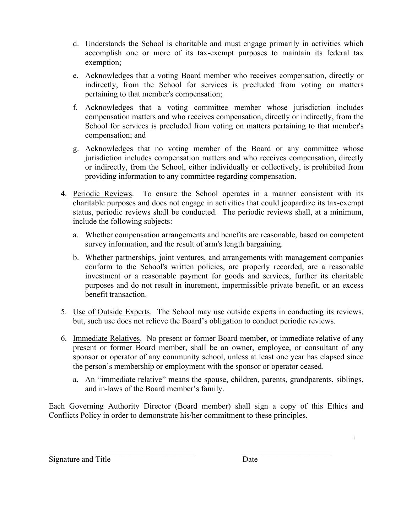- d. Understands the School is charitable and must engage primarily in activities which accomplish one or more of its tax-exempt purposes to maintain its federal tax exemption;
- e. Acknowledges that a voting Board member who receives compensation, directly or indirectly, from the School for services is precluded from voting on matters pertaining to that member's compensation;
- f. Acknowledges that a voting committee member whose jurisdiction includes compensation matters and who receives compensation, directly or indirectly, from the School for services is precluded from voting on matters pertaining to that member's compensation; and
- g. Acknowledges that no voting member of the Board or any committee whose jurisdiction includes compensation matters and who receives compensation, directly or indirectly, from the School, either individually or collectively, is prohibited from providing information to any committee regarding compensation.
- 4. Periodic Reviews. To ensure the School operates in a manner consistent with its charitable purposes and does not engage in activities that could jeopardize its tax-exempt status, periodic reviews shall be conducted. The periodic reviews shall, at a minimum, include the following subjects:
	- a. Whether compensation arrangements and benefits are reasonable, based on competent survey information, and the result of arm's length bargaining.
	- b. Whether partnerships, joint ventures, and arrangements with management companies conform to the School's written policies, are properly recorded, are a reasonable investment or a reasonable payment for goods and services, further its charitable purposes and do not result in inurement, impermissible private benefit, or an excess benefit transaction.
- 5. Use of Outside Experts. The School may use outside experts in conducting its reviews, but, such use does not relieve the Board's obligation to conduct periodic reviews.
- 6. Immediate Relatives. No present or former Board member, or immediate relative of any present or former Board member, shall be an owner, employee, or consultant of any sponsor or operator of any community school, unless at least one year has elapsed since the person's membership or employment with the sponsor or operator ceased.
	- a. An "immediate relative" means the spouse, children, parents, grandparents, siblings, and in-laws of the Board member's family.

Each Governing Authority Director (Board member) shall sign a copy of this Ethics and Conflicts Policy in order to demonstrate his/her commitment to these principles.

 $\mathcal{L}_\text{max}$  , and the contribution of the contribution of the contribution of the contribution of the contribution of the contribution of the contribution of the contribution of the contribution of the contribution of t

Signature and Title Date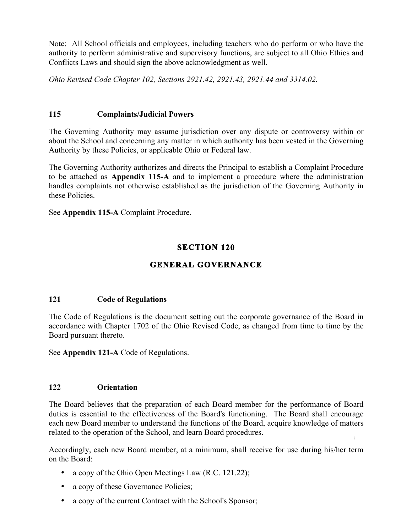Note: All School officials and employees, including teachers who do perform or who have the authority to perform administrative and supervisory functions, are subject to all Ohio Ethics and Conflicts Laws and should sign the above acknowledgment as well.

*Ohio Revised Code Chapter 102, Sections 2921.42, 2921.43, 2921.44 and 3314.02.*

## **115 Complaints/Judicial Powers**

The Governing Authority may assume jurisdiction over any dispute or controversy within or about the School and concerning any matter in which authority has been vested in the Governing Authority by these Policies, or applicable Ohio or Federal law.

The Governing Authority authorizes and directs the Principal to establish a Complaint Procedure to be attached as **Appendix 115-A** and to implement a procedure where the administration handles complaints not otherwise established as the jurisdiction of the Governing Authority in these Policies.

See **Appendix 115-A** Complaint Procedure.

# **SECTION 120**

# **GENERAL GOVERNANCE**

# **121 Code of Regulations**

The Code of Regulations is the document setting out the corporate governance of the Board in accordance with Chapter 1702 of the Ohio Revised Code, as changed from time to time by the Board pursuant thereto.

See **Appendix 121-A** Code of Regulations.

# **122 Orientation**

**i** The Board believes that the preparation of each Board member for the performance of Board duties is essential to the effectiveness of the Board's functioning. The Board shall encourage each new Board member to understand the functions of the Board, acquire knowledge of matters related to the operation of the School, and learn Board procedures.

Accordingly, each new Board member, at a minimum, shall receive for use during his/her term on the Board:

- a copy of the Ohio Open Meetings Law (R.C. 121.22);
- a copy of these Governance Policies;
- a copy of the current Contract with the School's Sponsor;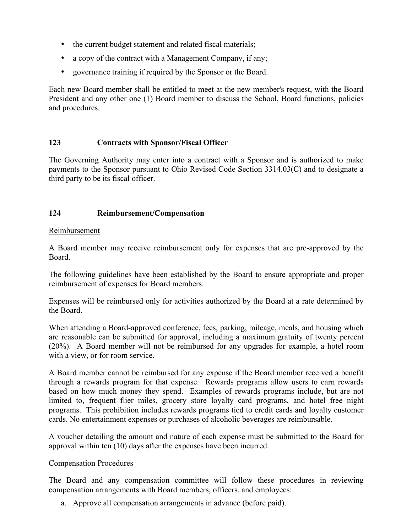- the current budget statement and related fiscal materials;
- a copy of the contract with a Management Company, if any;
- governance training if required by the Sponsor or the Board.

Each new Board member shall be entitled to meet at the new member's request, with the Board President and any other one (1) Board member to discuss the School, Board functions, policies and procedures.

### **123 Contracts with Sponsor/Fiscal Officer**

The Governing Authority may enter into a contract with a Sponsor and is authorized to make payments to the Sponsor pursuant to Ohio Revised Code Section 3314.03(C) and to designate a third party to be its fiscal officer.

### **124 Reimbursement/Compensation**

#### Reimbursement

A Board member may receive reimbursement only for expenses that are pre-approved by the Board.

The following guidelines have been established by the Board to ensure appropriate and proper reimbursement of expenses for Board members.

Expenses will be reimbursed only for activities authorized by the Board at a rate determined by the Board.

When attending a Board-approved conference, fees, parking, mileage, meals, and housing which are reasonable can be submitted for approval, including a maximum gratuity of twenty percent (20%). A Board member will not be reimbursed for any upgrades for example, a hotel room with a view, or for room service.

A Board member cannot be reimbursed for any expense if the Board member received a benefit through a rewards program for that expense. Rewards programs allow users to earn rewards based on how much money they spend. Examples of rewards programs include, but are not limited to, frequent flier miles, grocery store loyalty card programs, and hotel free night programs. This prohibition includes rewards programs tied to credit cards and loyalty customer cards. No entertainment expenses or purchases of alcoholic beverages are reimbursable.

**i** A voucher detailing the amount and nature of each expense must be submitted to the Board for approval within ten (10) days after the expenses have been incurred.

#### Compensation Procedures

The Board and any compensation committee will follow these procedures in reviewing compensation arrangements with Board members, officers, and employees:

a. Approve all compensation arrangements in advance (before paid).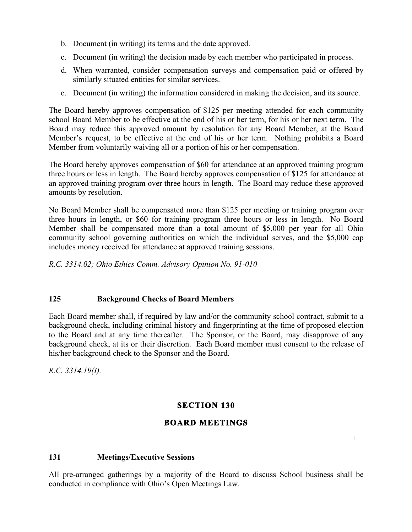- b. Document (in writing) its terms and the date approved.
- c. Document (in writing) the decision made by each member who participated in process.
- d. When warranted, consider compensation surveys and compensation paid or offered by similarly situated entities for similar services.
- e. Document (in writing) the information considered in making the decision, and its source.

The Board hereby approves compensation of \$125 per meeting attended for each community school Board Member to be effective at the end of his or her term, for his or her next term. The Board may reduce this approved amount by resolution for any Board Member, at the Board Member's request, to be effective at the end of his or her term. Nothing prohibits a Board Member from voluntarily waiving all or a portion of his or her compensation.

The Board hereby approves compensation of \$60 for attendance at an approved training program three hours or less in length. The Board hereby approves compensation of \$125 for attendance at an approved training program over three hours in length. The Board may reduce these approved amounts by resolution.

No Board Member shall be compensated more than \$125 per meeting or training program over three hours in length, or \$60 for training program three hours or less in length. No Board Member shall be compensated more than a total amount of \$5,000 per year for all Ohio community school governing authorities on which the individual serves, and the \$5,000 cap includes money received for attendance at approved training sessions.

*R.C. 3314.02; Ohio Ethics Comm. Advisory Opinion No. 91-010*

## **125 Background Checks of Board Members**

Each Board member shall, if required by law and/or the community school contract, submit to a background check, including criminal history and fingerprinting at the time of proposed election to the Board and at any time thereafter. The Sponsor, or the Board, may disapprove of any background check, at its or their discretion. Each Board member must consent to the release of his/her background check to the Sponsor and the Board.

*R.C. 3314.19(I).*

## **SECTION 130**

## **BOARD MEETINGS**

**i**

#### **131 Meetings/Executive Sessions**

All pre-arranged gatherings by a majority of the Board to discuss School business shall be conducted in compliance with Ohio's Open Meetings Law.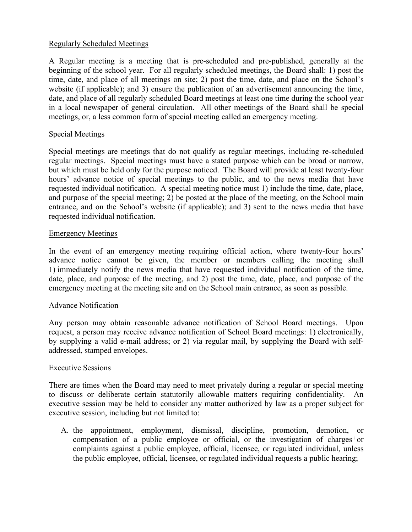#### Regularly Scheduled Meetings

A Regular meeting is a meeting that is pre-scheduled and pre-published, generally at the beginning of the school year. For all regularly scheduled meetings, the Board shall: 1) post the time, date, and place of all meetings on site; 2) post the time, date, and place on the School's website (if applicable); and 3) ensure the publication of an advertisement announcing the time, date, and place of all regularly scheduled Board meetings at least one time during the school year in a local newspaper of general circulation. All other meetings of the Board shall be special meetings, or, a less common form of special meeting called an emergency meeting.

### Special Meetings

Special meetings are meetings that do not qualify as regular meetings, including re-scheduled regular meetings. Special meetings must have a stated purpose which can be broad or narrow, but which must be held only for the purpose noticed. The Board will provide at least twenty-four hours' advance notice of special meetings to the public, and to the news media that have requested individual notification. A special meeting notice must 1) include the time, date, place, and purpose of the special meeting; 2) be posted at the place of the meeting, on the School main entrance, and on the School's website (if applicable); and 3) sent to the news media that have requested individual notification.

### Emergency Meetings

In the event of an emergency meeting requiring official action, where twenty-four hours' advance notice cannot be given, the member or members calling the meeting shall 1) immediately notify the news media that have requested individual notification of the time, date, place, and purpose of the meeting, and 2) post the time, date, place, and purpose of the emergency meeting at the meeting site and on the School main entrance, as soon as possible.

## Advance Notification

Any person may obtain reasonable advance notification of School Board meetings. Upon request, a person may receive advance notification of School Board meetings: 1) electronically, by supplying a valid e-mail address; or 2) via regular mail, by supplying the Board with selfaddressed, stamped envelopes.

#### Executive Sessions

There are times when the Board may need to meet privately during a regular or special meeting to discuss or deliberate certain statutorily allowable matters requiring confidentiality. An executive session may be held to consider any matter authorized by law as a proper subject for executive session, including but not limited to:

compensation of a public employee or official, or the investigation of charges or A. the appointment, employment, dismissal, discipline, promotion, demotion, or complaints against a public employee, official, licensee, or regulated individual, unless the public employee, official, licensee, or regulated individual requests a public hearing;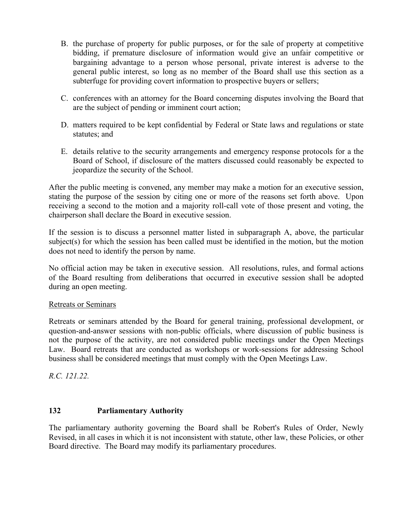- B. the purchase of property for public purposes, or for the sale of property at competitive bidding, if premature disclosure of information would give an unfair competitive or bargaining advantage to a person whose personal, private interest is adverse to the general public interest, so long as no member of the Board shall use this section as a subterfuge for providing covert information to prospective buyers or sellers;
- C. conferences with an attorney for the Board concerning disputes involving the Board that are the subject of pending or imminent court action;
- D. matters required to be kept confidential by Federal or State laws and regulations or state statutes; and
- E. details relative to the security arrangements and emergency response protocols for a the Board of School, if disclosure of the matters discussed could reasonably be expected to jeopardize the security of the School.

After the public meeting is convened, any member may make a motion for an executive session, stating the purpose of the session by citing one or more of the reasons set forth above. Upon receiving a second to the motion and a majority roll-call vote of those present and voting, the chairperson shall declare the Board in executive session.

If the session is to discuss a personnel matter listed in subparagraph A, above, the particular subject(s) for which the session has been called must be identified in the motion, but the motion does not need to identify the person by name.

No official action may be taken in executive session. All resolutions, rules, and formal actions of the Board resulting from deliberations that occurred in executive session shall be adopted during an open meeting.

#### Retreats or Seminars

Retreats or seminars attended by the Board for general training, professional development, or question-and-answer sessions with non-public officials, where discussion of public business is not the purpose of the activity, are not considered public meetings under the Open Meetings Law. Board retreats that are conducted as workshops or work-sessions for addressing School business shall be considered meetings that must comply with the Open Meetings Law.

*R.C. 121.22.*

## **132 Parliamentary Authority**

Revised, in all cases in which it is not inconsistent with statute, other law, these Policies, or other The parliamentary authority governing the Board shall be Robert's Rules of Order, Newly Board directive. The Board may modify its parliamentary procedures.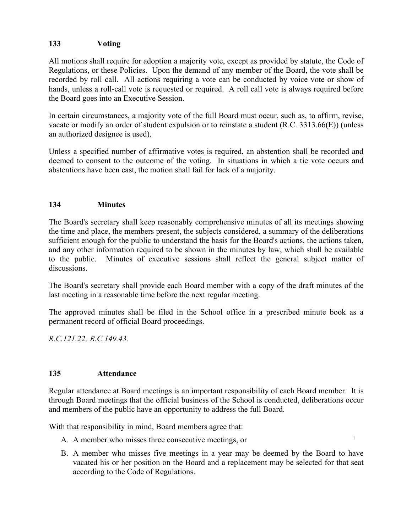## **133 Voting**

All motions shall require for adoption a majority vote, except as provided by statute, the Code of Regulations, or these Policies. Upon the demand of any member of the Board, the vote shall be recorded by roll call. All actions requiring a vote can be conducted by voice vote or show of hands, unless a roll-call vote is requested or required. A roll call vote is always required before the Board goes into an Executive Session.

In certain circumstances, a majority vote of the full Board must occur, such as, to affirm, revise, vacate or modify an order of student expulsion or to reinstate a student (R.C. 3313.66(E)) (unless an authorized designee is used).

Unless a specified number of affirmative votes is required, an abstention shall be recorded and deemed to consent to the outcome of the voting. In situations in which a tie vote occurs and abstentions have been cast, the motion shall fail for lack of a majority.

## **134 Minutes**

The Board's secretary shall keep reasonably comprehensive minutes of all its meetings showing the time and place, the members present, the subjects considered, a summary of the deliberations sufficient enough for the public to understand the basis for the Board's actions, the actions taken, and any other information required to be shown in the minutes by law, which shall be available to the public. Minutes of executive sessions shall reflect the general subject matter of discussions.

The Board's secretary shall provide each Board member with a copy of the draft minutes of the last meeting in a reasonable time before the next regular meeting.

The approved minutes shall be filed in the School office in a prescribed minute book as a permanent record of official Board proceedings.

*R.C.121.22; R.C.149.43.*

## **135 Attendance**

Regular attendance at Board meetings is an important responsibility of each Board member. It is through Board meetings that the official business of the School is conducted, deliberations occur and members of the public have an opportunity to address the full Board.

With that responsibility in mind, Board members agree that:

- A. A member who misses three consecutive meetings, or
- B. A member who misses five meetings in a year may be deemed by the Board to have vacated his or her position on the Board and a replacement may be selected for that seat according to the Code of Regulations.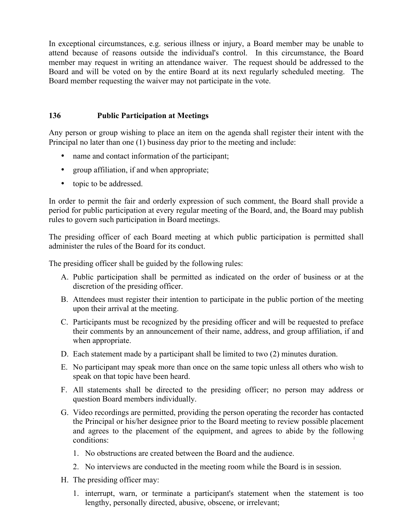In exceptional circumstances, e.g. serious illness or injury, a Board member may be unable to attend because of reasons outside the individual's control. In this circumstance, the Board member may request in writing an attendance waiver. The request should be addressed to the Board and will be voted on by the entire Board at its next regularly scheduled meeting. The Board member requesting the waiver may not participate in the vote.

## **136 Public Participation at Meetings**

Any person or group wishing to place an item on the agenda shall register their intent with the Principal no later than one (1) business day prior to the meeting and include:

- name and contact information of the participant;
- group affiliation, if and when appropriate;
- topic to be addressed.

In order to permit the fair and orderly expression of such comment, the Board shall provide a period for public participation at every regular meeting of the Board, and, the Board may publish rules to govern such participation in Board meetings.

The presiding officer of each Board meeting at which public participation is permitted shall administer the rules of the Board for its conduct.

The presiding officer shall be guided by the following rules:

- A. Public participation shall be permitted as indicated on the order of business or at the discretion of the presiding officer.
- B. Attendees must register their intention to participate in the public portion of the meeting upon their arrival at the meeting.
- C. Participants must be recognized by the presiding officer and will be requested to preface their comments by an announcement of their name, address, and group affiliation, if and when appropriate.
- D. Each statement made by a participant shall be limited to two (2) minutes duration.
- E. No participant may speak more than once on the same topic unless all others who wish to speak on that topic have been heard.
- F. All statements shall be directed to the presiding officer; no person may address or question Board members individually.
- **i** G. Video recordings are permitted, providing the person operating the recorder has contacted the Principal or his/her designee prior to the Board meeting to review possible placement and agrees to the placement of the equipment, and agrees to abide by the following conditions:
	- 1. No obstructions are created between the Board and the audience.
	- 2. No interviews are conducted in the meeting room while the Board is in session.
- H. The presiding officer may:
	- 1. interrupt, warn, or terminate a participant's statement when the statement is too lengthy, personally directed, abusive, obscene, or irrelevant;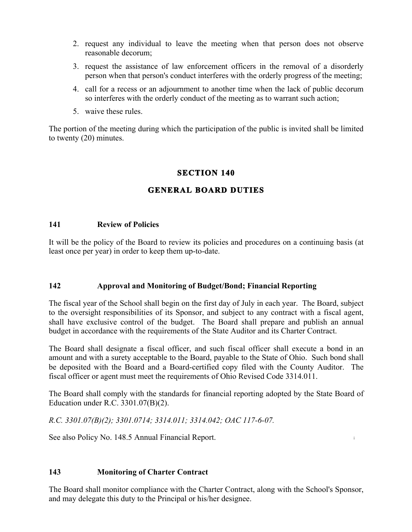- 2. request any individual to leave the meeting when that person does not observe reasonable decorum;
- 3. request the assistance of law enforcement officers in the removal of a disorderly person when that person's conduct interferes with the orderly progress of the meeting;
- 4. call for a recess or an adjournment to another time when the lack of public decorum so interferes with the orderly conduct of the meeting as to warrant such action;
- 5. waive these rules.

The portion of the meeting during which the participation of the public is invited shall be limited to twenty (20) minutes.

## **SECTION 140**

## **GENERAL BOARD DUTIES**

#### **141 Review of Policies**

It will be the policy of the Board to review its policies and procedures on a continuing basis (at least once per year) in order to keep them up-to-date.

## **142 Approval and Monitoring of Budget/Bond; Financial Reporting**

The fiscal year of the School shall begin on the first day of July in each year. The Board, subject to the oversight responsibilities of its Sponsor, and subject to any contract with a fiscal agent, shall have exclusive control of the budget. The Board shall prepare and publish an annual budget in accordance with the requirements of the State Auditor and its Charter Contract.

The Board shall designate a fiscal officer, and such fiscal officer shall execute a bond in an amount and with a surety acceptable to the Board, payable to the State of Ohio. Such bond shall be deposited with the Board and a Board-certified copy filed with the County Auditor. The fiscal officer or agent must meet the requirements of Ohio Revised Code 3314.011.

The Board shall comply with the standards for financial reporting adopted by the State Board of Education under R.C. 3301.07(B)(2).

**i**

*R.C. 3301.07(B)(2); 3301.0714; 3314.011; 3314.042; OAC 117-6-07.*

See also Policy No. 148.5 Annual Financial Report.

#### **143 Monitoring of Charter Contract**

The Board shall monitor compliance with the Charter Contract, along with the School's Sponsor, and may delegate this duty to the Principal or his/her designee.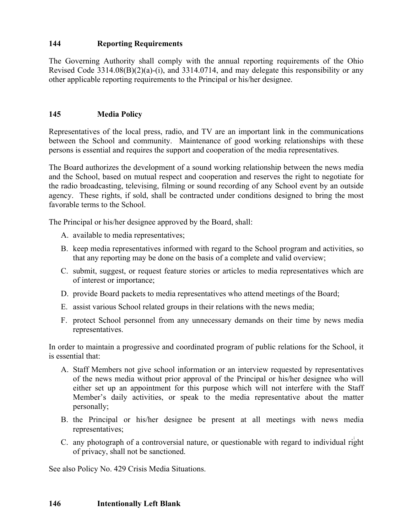## **144 Reporting Requirements**

The Governing Authority shall comply with the annual reporting requirements of the Ohio Revised Code 3314.08(B)(2)(a)-(i), and 3314.0714, and may delegate this responsibility or any other applicable reporting requirements to the Principal or his/her designee.

## **145 Media Policy**

Representatives of the local press, radio, and TV are an important link in the communications between the School and community. Maintenance of good working relationships with these persons is essential and requires the support and cooperation of the media representatives.

The Board authorizes the development of a sound working relationship between the news media and the School, based on mutual respect and cooperation and reserves the right to negotiate for the radio broadcasting, televising, filming or sound recording of any School event by an outside agency. These rights, if sold, shall be contracted under conditions designed to bring the most favorable terms to the School.

The Principal or his/her designee approved by the Board, shall:

- A. available to media representatives;
- B. keep media representatives informed with regard to the School program and activities, so that any reporting may be done on the basis of a complete and valid overview;
- C. submit, suggest, or request feature stories or articles to media representatives which are of interest or importance;
- D. provide Board packets to media representatives who attend meetings of the Board;
- E. assist various School related groups in their relations with the news media;
- F. protect School personnel from any unnecessary demands on their time by news media representatives.

In order to maintain a progressive and coordinated program of public relations for the School, it is essential that:

- A. Staff Members not give school information or an interview requested by representatives of the news media without prior approval of the Principal or his/her designee who will either set up an appointment for this purpose which will not interfere with the Staff Member's daily activities, or speak to the media representative about the matter personally;
- B. the Principal or his/her designee be present at all meetings with news media representatives;
- C. any photograph of a controversial nature, or questionable with regard to individual right of privacy, shall not be sanctioned.

See also Policy No. 429 Crisis Media Situations.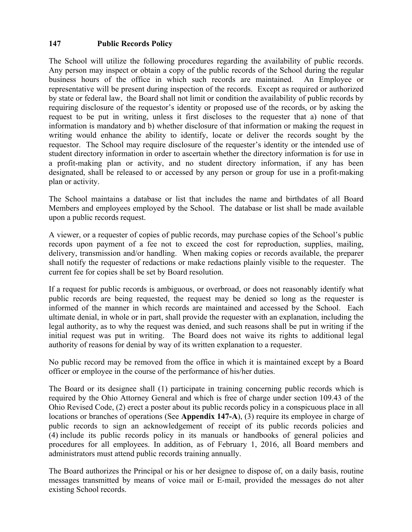## **147 Public Records Policy**

The School will utilize the following procedures regarding the availability of public records. Any person may inspect or obtain a copy of the public records of the School during the regular business hours of the office in which such records are maintained. An Employee or representative will be present during inspection of the records. Except as required or authorized by state or federal law, the Board shall not limit or condition the availability of public records by requiring disclosure of the requestor's identity or proposed use of the records, or by asking the request to be put in writing, unless it first discloses to the requester that a) none of that information is mandatory and b) whether disclosure of that information or making the request in writing would enhance the ability to identify, locate or deliver the records sought by the requestor. The School may require disclosure of the requester's identity or the intended use of student directory information in order to ascertain whether the directory information is for use in a profit-making plan or activity, and no student directory information, if any has been designated, shall be released to or accessed by any person or group for use in a profit-making plan or activity.

The School maintains a database or list that includes the name and birthdates of all Board Members and employees employed by the School. The database or list shall be made available upon a public records request.

A viewer, or a requester of copies of public records, may purchase copies of the School's public records upon payment of a fee not to exceed the cost for reproduction, supplies, mailing, delivery, transmission and/or handling. When making copies or records available, the preparer shall notify the requester of redactions or make redactions plainly visible to the requester. The current fee for copies shall be set by Board resolution.

If a request for public records is ambiguous, or overbroad, or does not reasonably identify what public records are being requested, the request may be denied so long as the requester is informed of the manner in which records are maintained and accessed by the School. Each ultimate denial, in whole or in part, shall provide the requester with an explanation, including the legal authority, as to why the request was denied, and such reasons shall be put in writing if the initial request was put in writing. The Board does not waive its rights to additional legal authority of reasons for denial by way of its written explanation to a requester.

No public record may be removed from the office in which it is maintained except by a Board officer or employee in the course of the performance of his/her duties.

**i** (4) include its public records policy in its manuals or handbooks of general policies and The Board or its designee shall (1) participate in training concerning public records which is required by the Ohio Attorney General and which is free of charge under section 109.43 of the Ohio Revised Code, (2) erect a poster about its public records policy in a conspicuous place in all locations or branches of operations (See **Appendix 147-A**), (3) require its employee in charge of public records to sign an acknowledgement of receipt of its public records policies and procedures for all employees. In addition, as of February 1, 2016, all Board members and administrators must attend public records training annually.

The Board authorizes the Principal or his or her designee to dispose of, on a daily basis, routine messages transmitted by means of voice mail or E-mail, provided the messages do not alter existing School records.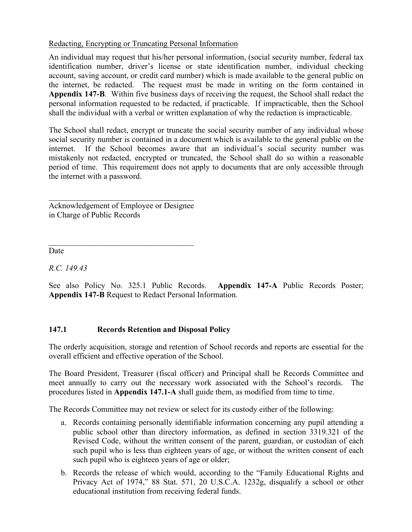## Redacting, Encrypting or Truncating Personal Information

An individual may request that his/her personal information, (social security number, federal tax identification number, driver's license or state identification number, individual checking account, saving account, or credit card number) which is made available to the general public on the internet, be redacted. The request must be made in writing on the form contained in **Appendix 147-B**. Within five business days of receiving the request, the School shall redact the personal information requested to be redacted, if practicable. If impracticable, then the School shall the individual with a verbal or written explanation of why the redaction is impracticable.

The School shall redact, encrypt or truncate the social security number of any individual whose social security number is contained in a document which is available to the general public on the internet. If the School becomes aware that an individual's social security number was mistakenly not redacted, encrypted or truncated, the School shall do so within a reasonable period of time. This requirement does not apply to documents that are only accessible through the internet with a password.

 $\mathcal{L}_\text{max}$  , where  $\mathcal{L}_\text{max}$  and  $\mathcal{L}_\text{max}$  and  $\mathcal{L}_\text{max}$ Acknowledgement of Employee or Designee in Charge of Public Records

 $\mathcal{L}_\text{max}$ 

Date

*R.C. 149.43*

See also Policy No. 325.1 Public Records. **Appendix 147-A** Public Records Poster; **Appendix 147-B** Request to Redact Personal Information.

## **147.1 Records Retention and Disposal Policy**

The orderly acquisition, storage and retention of School records and reports are essential for the overall efficient and effective operation of the School.

The Board President, Treasurer (fiscal officer) and Principal shall be Records Committee and meet annually to carry out the necessary work associated with the School's records. The procedures listed in **Appendix 147.1-A** shall guide them, as modified from time to time.

The Records Committee may not review or select for its custody either of the following:

- Revised Code, without the written consent of the parent, guardian, or custodian of each a. Records containing personally identifiable information concerning any pupil attending a public school other than directory information, as defined in section 3319.321 of the such pupil who is less than eighteen years of age, or without the written consent of each such pupil who is eighteen years of age or older;
- b. Records the release of which would, according to the "Family Educational Rights and Privacy Act of 1974," 88 Stat. 571, 20 U.S.C.A. 1232g, disqualify a school or other educational institution from receiving federal funds.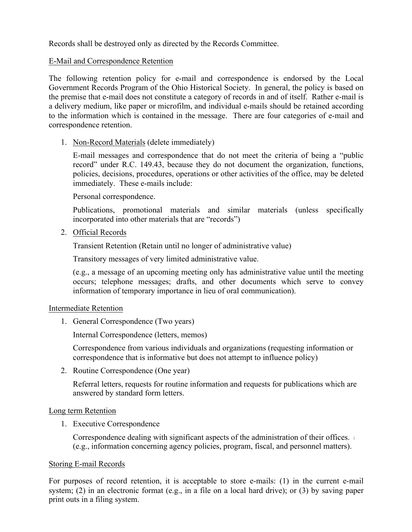Records shall be destroyed only as directed by the Records Committee.

## E-Mail and Correspondence Retention

The following retention policy for e-mail and correspondence is endorsed by the Local Government Records Program of the Ohio Historical Society. In general, the policy is based on the premise that e-mail does not constitute a category of records in and of itself. Rather e-mail is a delivery medium, like paper or microfilm, and individual e-mails should be retained according to the information which is contained in the message. There are four categories of e-mail and correspondence retention.

1. Non-Record Materials (delete immediately)

E-mail messages and correspondence that do not meet the criteria of being a "public record" under R.C. 149.43, because they do not document the organization, functions, policies, decisions, procedures, operations or other activities of the office, may be deleted immediately. These e-mails include:

Personal correspondence.

Publications, promotional materials and similar materials (unless specifically incorporated into other materials that are "records")

2. Official Records

Transient Retention (Retain until no longer of administrative value)

Transitory messages of very limited administrative value.

(e.g., a message of an upcoming meeting only has administrative value until the meeting occurs; telephone messages; drafts, and other documents which serve to convey information of temporary importance in lieu of oral communication).

## Intermediate Retention

1. General Correspondence (Two years)

Internal Correspondence (letters, memos)

Correspondence from various individuals and organizations (requesting information or correspondence that is informative but does not attempt to influence policy)

2. Routine Correspondence (One year)

Referral letters, requests for routine information and requests for publications which are answered by standard form letters.

## Long term Retention

1. Executive Correspondence

Correspondence dealing with significant aspects of the administration of their offices. (e.g., information concerning agency policies, program, fiscal, and personnel matters).

## Storing E-mail Records

For purposes of record retention, it is acceptable to store e-mails: (1) in the current e-mail system; (2) in an electronic format (e.g., in a file on a local hard drive); or (3) by saving paper print outs in a filing system.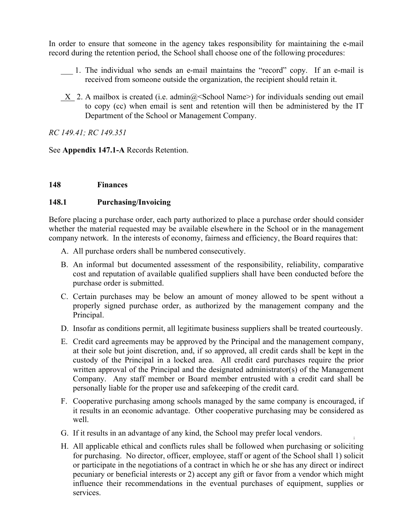In order to ensure that someone in the agency takes responsibility for maintaining the e-mail record during the retention period, the School shall choose one of the following procedures:

- \_\_\_ 1. The individual who sends an e-mail maintains the "record" copy. If an e-mail is received from someone outside the organization, the recipient should retain it.
- $X$  2. A mailbox is created (i.e. admin $@$  School Name>) for individuals sending out email to copy (cc) when email is sent and retention will then be administered by the IT Department of the School or Management Company.

*RC 149.41; RC 149.351*

See **Appendix 147.1-A** Records Retention.

### **148 Finances**

### **148.1 Purchasing/Invoicing**

Before placing a purchase order, each party authorized to place a purchase order should consider whether the material requested may be available elsewhere in the School or in the management company network. In the interests of economy, fairness and efficiency, the Board requires that:

- A. All purchase orders shall be numbered consecutively.
- B. An informal but documented assessment of the responsibility, reliability, comparative cost and reputation of available qualified suppliers shall have been conducted before the purchase order is submitted.
- C. Certain purchases may be below an amount of money allowed to be spent without a properly signed purchase order, as authorized by the management company and the Principal.
- D. Insofar as conditions permit, all legitimate business suppliers shall be treated courteously.
- E. Credit card agreements may be approved by the Principal and the management company, at their sole but joint discretion, and, if so approved, all credit cards shall be kept in the custody of the Principal in a locked area. All credit card purchases require the prior written approval of the Principal and the designated administrator(s) of the Management Company. Any staff member or Board member entrusted with a credit card shall be personally liable for the proper use and safekeeping of the credit card.
- F. Cooperative purchasing among schools managed by the same company is encouraged, if it results in an economic advantage. Other cooperative purchasing may be considered as well.

- G. If it results in an advantage of any kind, the School may prefer local vendors.
- H. All applicable ethical and conflicts rules shall be followed when purchasing or soliciting for purchasing. No director, officer, employee, staff or agent of the School shall 1) solicit or participate in the negotiations of a contract in which he or she has any direct or indirect pecuniary or beneficial interests or 2) accept any gift or favor from a vendor which might influence their recommendations in the eventual purchases of equipment, supplies or services.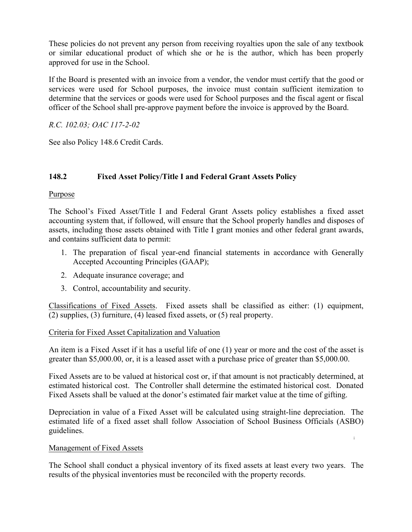These policies do not prevent any person from receiving royalties upon the sale of any textbook or similar educational product of which she or he is the author, which has been properly approved for use in the School.

If the Board is presented with an invoice from a vendor, the vendor must certify that the good or services were used for School purposes, the invoice must contain sufficient itemization to determine that the services or goods were used for School purposes and the fiscal agent or fiscal officer of the School shall pre-approve payment before the invoice is approved by the Board.

*R.C. 102.03; OAC 117-2-02*

See also Policy 148.6 Credit Cards.

## **148.2 Fixed Asset Policy/Title I and Federal Grant Assets Policy**

## Purpose

The School's Fixed Asset/Title I and Federal Grant Assets policy establishes a fixed asset accounting system that, if followed, will ensure that the School properly handles and disposes of assets, including those assets obtained with Title I grant monies and other federal grant awards, and contains sufficient data to permit:

- 1. The preparation of fiscal year-end financial statements in accordance with Generally Accepted Accounting Principles (GAAP);
- 2. Adequate insurance coverage; and
- 3. Control, accountability and security.

Classifications of Fixed Assets. Fixed assets shall be classified as either: (1) equipment, (2) supplies, (3) furniture, (4) leased fixed assets, or (5) real property.

## Criteria for Fixed Asset Capitalization and Valuation

An item is a Fixed Asset if it has a useful life of one (1) year or more and the cost of the asset is greater than \$5,000.00, or, it is a leased asset with a purchase price of greater than \$5,000.00.

Fixed Assets are to be valued at historical cost or, if that amount is not practicably determined, at estimated historical cost. The Controller shall determine the estimated historical cost. Donated Fixed Assets shall be valued at the donor's estimated fair market value at the time of gifting.

**i** Depreciation in value of a Fixed Asset will be calculated using straight-line depreciation. The estimated life of a fixed asset shall follow Association of School Business Officials (ASBO) guidelines.

## Management of Fixed Assets

The School shall conduct a physical inventory of its fixed assets at least every two years. The results of the physical inventories must be reconciled with the property records.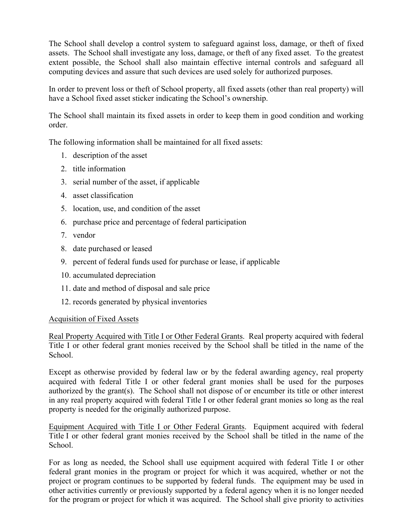The School shall develop a control system to safeguard against loss, damage, or theft of fixed assets. The School shall investigate any loss, damage, or theft of any fixed asset. To the greatest extent possible, the School shall also maintain effective internal controls and safeguard all computing devices and assure that such devices are used solely for authorized purposes.

In order to prevent loss or theft of School property, all fixed assets (other than real property) will have a School fixed asset sticker indicating the School's ownership.

The School shall maintain its fixed assets in order to keep them in good condition and working order.

The following information shall be maintained for all fixed assets:

- 1. description of the asset
- 2. title information
- 3. serial number of the asset, if applicable
- 4. asset classification
- 5. location, use, and condition of the asset
- 6. purchase price and percentage of federal participation
- 7. vendor
- 8. date purchased or leased
- 9. percent of federal funds used for purchase or lease, if applicable
- 10. accumulated depreciation
- 11. date and method of disposal and sale price
- 12. records generated by physical inventories

#### Acquisition of Fixed Assets

Real Property Acquired with Title I or Other Federal Grants. Real property acquired with federal Title I or other federal grant monies received by the School shall be titled in the name of the School.

Except as otherwise provided by federal law or by the federal awarding agency, real property acquired with federal Title I or other federal grant monies shall be used for the purposes authorized by the grant(s). The School shall not dispose of or encumber its title or other interest in any real property acquired with federal Title I or other federal grant monies so long as the real property is needed for the originally authorized purpose.

Title I or other federal grant monies received by the School shall be titled in the name of the Equipment Acquired with Title I or Other Federal Grants. Equipment acquired with federal School.

For as long as needed, the School shall use equipment acquired with federal Title I or other federal grant monies in the program or project for which it was acquired, whether or not the project or program continues to be supported by federal funds. The equipment may be used in other activities currently or previously supported by a federal agency when it is no longer needed for the program or project for which it was acquired. The School shall give priority to activities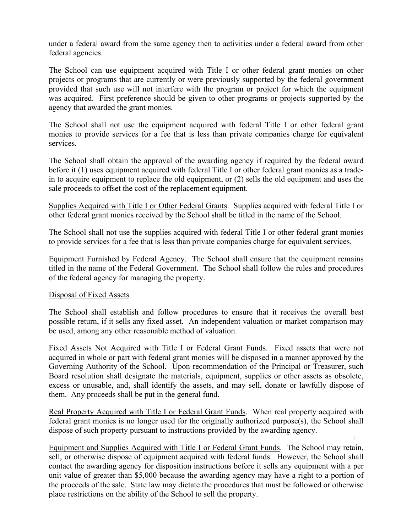under a federal award from the same agency then to activities under a federal award from other federal agencies.

The School can use equipment acquired with Title I or other federal grant monies on other projects or programs that are currently or were previously supported by the federal government provided that such use will not interfere with the program or project for which the equipment was acquired. First preference should be given to other programs or projects supported by the agency that awarded the grant monies.

The School shall not use the equipment acquired with federal Title I or other federal grant monies to provide services for a fee that is less than private companies charge for equivalent services.

The School shall obtain the approval of the awarding agency if required by the federal award before it (1) uses equipment acquired with federal Title I or other federal grant monies as a tradein to acquire equipment to replace the old equipment, or (2) sells the old equipment and uses the sale proceeds to offset the cost of the replacement equipment.

Supplies Acquired with Title I or Other Federal Grants. Supplies acquired with federal Title I or other federal grant monies received by the School shall be titled in the name of the School.

The School shall not use the supplies acquired with federal Title I or other federal grant monies to provide services for a fee that is less than private companies charge for equivalent services.

Equipment Furnished by Federal Agency. The School shall ensure that the equipment remains titled in the name of the Federal Government. The School shall follow the rules and procedures of the federal agency for managing the property.

#### Disposal of Fixed Assets

The School shall establish and follow procedures to ensure that it receives the overall best possible return, if it sells any fixed asset. An independent valuation or market comparison may be used, among any other reasonable method of valuation.

Fixed Assets Not Acquired with Title I or Federal Grant Funds. Fixed assets that were not acquired in whole or part with federal grant monies will be disposed in a manner approved by the Governing Authority of the School. Upon recommendation of the Principal or Treasurer, such Board resolution shall designate the materials, equipment, supplies or other assets as obsolete, excess or unusable, and, shall identify the assets, and may sell, donate or lawfully dispose of them. Any proceeds shall be put in the general fund.

Real Property Acquired with Title I or Federal Grant Funds. When real property acquired with federal grant monies is no longer used for the originally authorized purpose(s), the School shall dispose of such property pursuant to instructions provided by the awarding agency.

**i**

Equipment and Supplies Acquired with Title I or Federal Grant Funds. The School may retain, sell, or otherwise dispose of equipment acquired with federal funds. However, the School shall contact the awarding agency for disposition instructions before it sells any equipment with a per unit value of greater than \$5,000 because the awarding agency may have a right to a portion of the proceeds of the sale. State law may dictate the procedures that must be followed or otherwise place restrictions on the ability of the School to sell the property.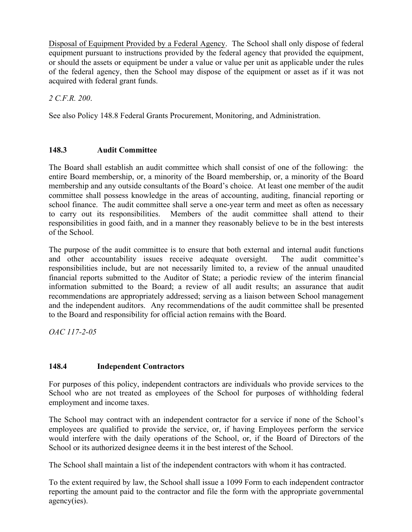Disposal of Equipment Provided by a Federal Agency. The School shall only dispose of federal equipment pursuant to instructions provided by the federal agency that provided the equipment, or should the assets or equipment be under a value or value per unit as applicable under the rules of the federal agency, then the School may dispose of the equipment or asset as if it was not acquired with federal grant funds.

*2 C.F.R. 200*.

See also Policy 148.8 Federal Grants Procurement, Monitoring, and Administration.

## **148.3 Audit Committee**

The Board shall establish an audit committee which shall consist of one of the following: the entire Board membership, or, a minority of the Board membership, or, a minority of the Board membership and any outside consultants of the Board's choice. At least one member of the audit committee shall possess knowledge in the areas of accounting, auditing, financial reporting or school finance. The audit committee shall serve a one-year term and meet as often as necessary to carry out its responsibilities. Members of the audit committee shall attend to their responsibilities in good faith, and in a manner they reasonably believe to be in the best interests of the School.

The purpose of the audit committee is to ensure that both external and internal audit functions and other accountability issues receive adequate oversight. The audit committee's responsibilities include, but are not necessarily limited to, a review of the annual unaudited financial reports submitted to the Auditor of State; a periodic review of the interim financial information submitted to the Board; a review of all audit results; an assurance that audit recommendations are appropriately addressed; serving as a liaison between School management and the independent auditors. Any recommendations of the audit committee shall be presented to the Board and responsibility for official action remains with the Board.

*OAC 117-2-05*

# **148.4 Independent Contractors**

For purposes of this policy, independent contractors are individuals who provide services to the School who are not treated as employees of the School for purposes of withholding federal employment and income taxes.

would interfere with the daily operations of the School, or, if the Board of Directors of the The School may contract with an independent contractor for a service if none of the School's employees are qualified to provide the service, or, if having Employees perform the service School or its authorized designee deems it in the best interest of the School.

The School shall maintain a list of the independent contractors with whom it has contracted.

To the extent required by law, the School shall issue a 1099 Form to each independent contractor reporting the amount paid to the contractor and file the form with the appropriate governmental agency(ies).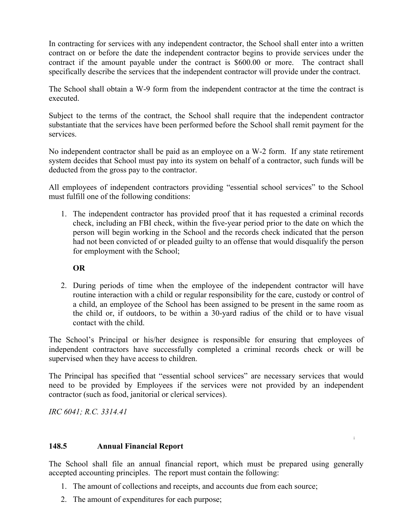In contracting for services with any independent contractor, the School shall enter into a written contract on or before the date the independent contractor begins to provide services under the contract if the amount payable under the contract is \$600.00 or more. The contract shall specifically describe the services that the independent contractor will provide under the contract.

The School shall obtain a W-9 form from the independent contractor at the time the contract is executed.

Subject to the terms of the contract, the School shall require that the independent contractor substantiate that the services have been performed before the School shall remit payment for the services.

No independent contractor shall be paid as an employee on a W-2 form. If any state retirement system decides that School must pay into its system on behalf of a contractor, such funds will be deducted from the gross pay to the contractor.

All employees of independent contractors providing "essential school services" to the School must fulfill one of the following conditions:

1. The independent contractor has provided proof that it has requested a criminal records check, including an FBI check, within the five-year period prior to the date on which the person will begin working in the School and the records check indicated that the person had not been convicted of or pleaded guilty to an offense that would disqualify the person for employment with the School;

## **OR**

2. During periods of time when the employee of the independent contractor will have routine interaction with a child or regular responsibility for the care, custody or control of a child, an employee of the School has been assigned to be present in the same room as the child or, if outdoors, to be within a 30-yard radius of the child or to have visual contact with the child.

The School's Principal or his/her designee is responsible for ensuring that employees of independent contractors have successfully completed a criminal records check or will be supervised when they have access to children.

The Principal has specified that "essential school services" are necessary services that would need to be provided by Employees if the services were not provided by an independent contractor (such as food, janitorial or clerical services).

*IRC 6041; R.C. 3314.41*

## **148.5 Annual Financial Report**

The School shall file an annual financial report, which must be prepared using generally accepted accounting principles. The report must contain the following:

- 1. The amount of collections and receipts, and accounts due from each source;
- 2. The amount of expenditures for each purpose;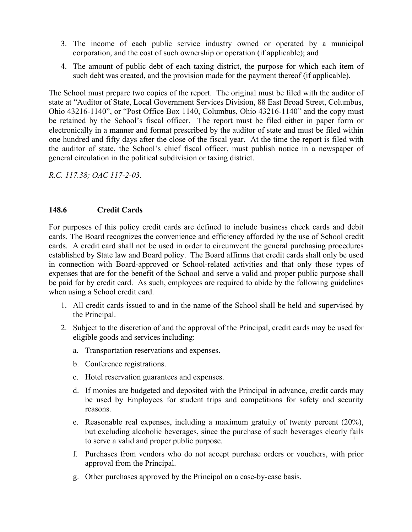- 3. The income of each public service industry owned or operated by a municipal corporation, and the cost of such ownership or operation (if applicable); and
- 4. The amount of public debt of each taxing district, the purpose for which each item of such debt was created, and the provision made for the payment thereof (if applicable).

The School must prepare two copies of the report. The original must be filed with the auditor of state at "Auditor of State, Local Government Services Division, 88 East Broad Street, Columbus, Ohio 43216-1140", or "Post Office Box 1140, Columbus, Ohio 43216-1140" and the copy must be retained by the School's fiscal officer. The report must be filed either in paper form or electronically in a manner and format prescribed by the auditor of state and must be filed within one hundred and fifty days after the close of the fiscal year. At the time the report is filed with the auditor of state, the School's chief fiscal officer, must publish notice in a newspaper of general circulation in the political subdivision or taxing district.

*R.C. 117.38; OAC 117-2-03.*

## **148.6 Credit Cards**

For purposes of this policy credit cards are defined to include business check cards and debit cards. The Board recognizes the convenience and efficiency afforded by the use of School credit cards. A credit card shall not be used in order to circumvent the general purchasing procedures established by State law and Board policy. The Board affirms that credit cards shall only be used in connection with Board-approved or School-related activities and that only those types of expenses that are for the benefit of the School and serve a valid and proper public purpose shall be paid for by credit card. As such, employees are required to abide by the following guidelines when using a School credit card.

- 1. All credit cards issued to and in the name of the School shall be held and supervised by the Principal.
- 2. Subject to the discretion of and the approval of the Principal, credit cards may be used for eligible goods and services including:
	- a. Transportation reservations and expenses.
	- b. Conference registrations.
	- c. Hotel reservation guarantees and expenses.
	- d. If monies are budgeted and deposited with the Principal in advance, credit cards may be used by Employees for student trips and competitions for safety and security reasons.
	- **i** e. Reasonable real expenses, including a maximum gratuity of twenty percent (20%), but excluding alcoholic beverages, since the purchase of such beverages clearly fails to serve a valid and proper public purpose.
	- f. Purchases from vendors who do not accept purchase orders or vouchers, with prior approval from the Principal.
	- g. Other purchases approved by the Principal on a case-by-case basis.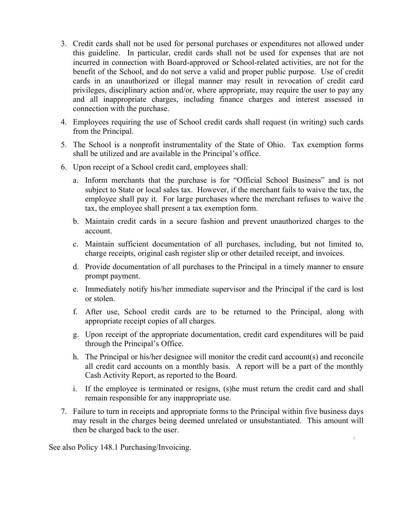- 3. Credit cards shall not be used for personal purchases or expenditures not allowed under this guideline. In particular, credit cards shall not be used for expenses that are not incurred in connection with Board-approved or School-related activities, are not for the benefit of the School, and do not serve a valid and proper public purpose. Use of credit cards in an unauthorized or illegal manner may result in revocation of credit card privileges, disciplinary action and/or, where appropriate, may require the user to pay any and all inappropriate charges, including finance charges and interest assessed in connection with the purchase.
- 4. Employees requiring the use of School credit cards shall request (in writing) such cards from the Principal.
- 5. The School is a nonprofit instrumentality of the State of Ohio. Tax exemption forms shall be utilized and are available in the Principal's office.
- 6. Upon receipt of a School credit card, employees shall:
	- a. Inform merchants that the purchase is for "Official School Business" and is not subject to State or local sales tax. However, if the merchant fails to waive the tax, the employee shall pay it. For large purchases where the merchant refuses to waive the tax, the employee shall present a tax exemption form.
	- b. Maintain credit cards in a secure fashion and prevent unauthorized charges to the account.
	- c. Maintain sufficient documentation of all purchases, including, but not limited to, charge receipts, original cash register slip or other detailed receipt, and invoices.
	- d. Provide documentation of all purchases to the Principal in a timely manner to ensure prompt payment.
	- e. Immediately notify his/her immediate supervisor and the Principal if the card is lost or stolen.
	- f. After use, School credit cards are to be returned to the Principal, along with appropriate receipt copies of all charges.
	- g. Upon receipt of the appropriate documentation, credit card expenditures will be paid through the Principal's Office.
	- h. The Principal or his/her designee will monitor the credit card account(s) and reconcile all credit card accounts on a monthly basis. A report will be a part of the monthly Cash Activity Report, as reported to the Board.
	- i. If the employee is terminated or resigns, (s)he must return the credit card and shall remain responsible for any inappropriate use.
- 7. Failure to turn in receipts and appropriate forms to the Principal within five business days may result in the charges being deemed unrelated or unsubstantiated. This amount will then be charged back to the user.

**i**

See also Policy 148.1 Purchasing/Invoicing.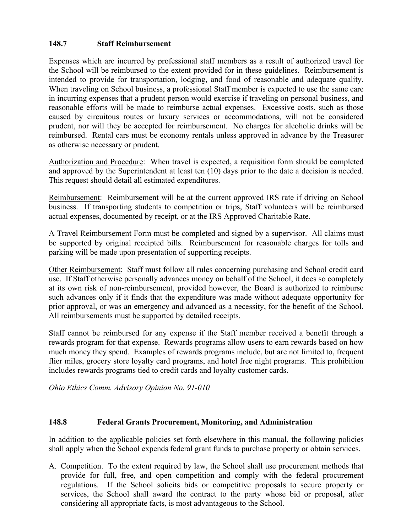## **148.7 Staff Reimbursement**

Expenses which are incurred by professional staff members as a result of authorized travel for the School will be reimbursed to the extent provided for in these guidelines. Reimbursement is intended to provide for transportation, lodging, and food of reasonable and adequate quality. When traveling on School business, a professional Staff member is expected to use the same care in incurring expenses that a prudent person would exercise if traveling on personal business, and reasonable efforts will be made to reimburse actual expenses. Excessive costs, such as those caused by circuitous routes or luxury services or accommodations, will not be considered prudent, nor will they be accepted for reimbursement. No charges for alcoholic drinks will be reimbursed. Rental cars must be economy rentals unless approved in advance by the Treasurer as otherwise necessary or prudent.

Authorization and Procedure: When travel is expected, a requisition form should be completed and approved by the Superintendent at least ten (10) days prior to the date a decision is needed. This request should detail all estimated expenditures.

Reimbursement: Reimbursement will be at the current approved IRS rate if driving on School business. If transporting students to competition or trips, Staff volunteers will be reimbursed actual expenses, documented by receipt, or at the IRS Approved Charitable Rate.

A Travel Reimbursement Form must be completed and signed by a supervisor. All claims must be supported by original receipted bills. Reimbursement for reasonable charges for tolls and parking will be made upon presentation of supporting receipts.

Other Reimbursement: Staff must follow all rules concerning purchasing and School credit card use. If Staff otherwise personally advances money on behalf of the School, it does so completely at its own risk of non-reimbursement, provided however, the Board is authorized to reimburse such advances only if it finds that the expenditure was made without adequate opportunity for prior approval, or was an emergency and advanced as a necessity, for the benefit of the School. All reimbursements must be supported by detailed receipts.

Staff cannot be reimbursed for any expense if the Staff member received a benefit through a rewards program for that expense. Rewards programs allow users to earn rewards based on how much money they spend. Examples of rewards programs include, but are not limited to, frequent flier miles, grocery store loyalty card programs, and hotel free night programs. This prohibition includes rewards programs tied to credit cards and loyalty customer cards.

*Ohio Ethics Comm. Advisory Opinion No. 91-010*

#### **148.8 Federal Grants Procurement, Monitoring, and Administration**

In addition to the applicable policies set forth elsewhere in this manual, the following policies shall apply when the School expends federal grant funds to purchase property or obtain services.

A. Competition. To the extent required by law, the School shall use procurement methods that provide for full, free, and open competition and comply with the federal procurement regulations. If the School solicits bids or competitive proposals to secure property or services, the School shall award the contract to the party whose bid or proposal, after considering all appropriate facts, is most advantageous to the School.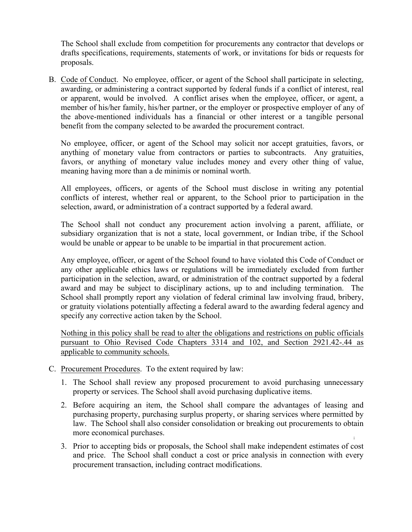The School shall exclude from competition for procurements any contractor that develops or drafts specifications, requirements, statements of work, or invitations for bids or requests for proposals.

B. Code of Conduct. No employee, officer, or agent of the School shall participate in selecting, awarding, or administering a contract supported by federal funds if a conflict of interest, real or apparent, would be involved. A conflict arises when the employee, officer, or agent, a member of his/her family, his/her partner, or the employer or prospective employer of any of the above-mentioned individuals has a financial or other interest or a tangible personal benefit from the company selected to be awarded the procurement contract.

No employee, officer, or agent of the School may solicit nor accept gratuities, favors, or anything of monetary value from contractors or parties to subcontracts. Any gratuities, favors, or anything of monetary value includes money and every other thing of value, meaning having more than a de minimis or nominal worth.

All employees, officers, or agents of the School must disclose in writing any potential conflicts of interest, whether real or apparent, to the School prior to participation in the selection, award, or administration of a contract supported by a federal award.

The School shall not conduct any procurement action involving a parent, affiliate, or subsidiary organization that is not a state, local government, or Indian tribe, if the School would be unable or appear to be unable to be impartial in that procurement action.

Any employee, officer, or agent of the School found to have violated this Code of Conduct or any other applicable ethics laws or regulations will be immediately excluded from further participation in the selection, award, or administration of the contract supported by a federal award and may be subject to disciplinary actions, up to and including termination. The School shall promptly report any violation of federal criminal law involving fraud, bribery, or gratuity violations potentially affecting a federal award to the awarding federal agency and specify any corrective action taken by the School.

Nothing in this policy shall be read to alter the obligations and restrictions on public officials pursuant to Ohio Revised Code Chapters 3314 and 102, and Section 2921.42-.44 as applicable to community schools.

- C. Procurement Procedures. To the extent required by law:
	- 1. The School shall review any proposed procurement to avoid purchasing unnecessary property or services. The School shall avoid purchasing duplicative items.
	- 2. Before acquiring an item, the School shall compare the advantages of leasing and purchasing property, purchasing surplus property, or sharing services where permitted by law. The School shall also consider consolidation or breaking out procurements to obtain more economical purchases.
	- 3. Prior to accepting bids or proposals, the School shall make independent estimates of cost and price. The School shall conduct a cost or price analysis in connection with every procurement transaction, including contract modifications.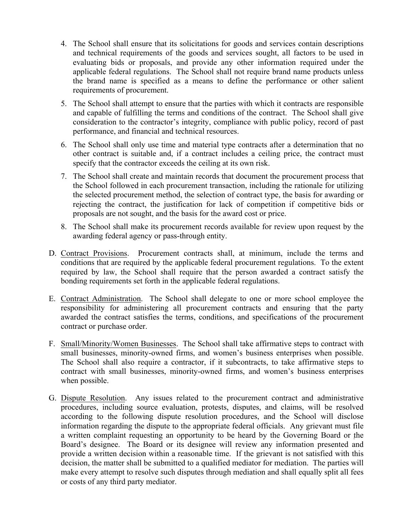- 4. The School shall ensure that its solicitations for goods and services contain descriptions and technical requirements of the goods and services sought, all factors to be used in evaluating bids or proposals, and provide any other information required under the applicable federal regulations. The School shall not require brand name products unless the brand name is specified as a means to define the performance or other salient requirements of procurement.
- 5. The School shall attempt to ensure that the parties with which it contracts are responsible and capable of fulfilling the terms and conditions of the contract. The School shall give consideration to the contractor's integrity, compliance with public policy, record of past performance, and financial and technical resources.
- 6. The School shall only use time and material type contracts after a determination that no other contract is suitable and, if a contract includes a ceiling price, the contract must specify that the contractor exceeds the ceiling at its own risk.
- 7. The School shall create and maintain records that document the procurement process that the School followed in each procurement transaction, including the rationale for utilizing the selected procurement method, the selection of contract type, the basis for awarding or rejecting the contract, the justification for lack of competition if competitive bids or proposals are not sought, and the basis for the award cost or price.
- 8. The School shall make its procurement records available for review upon request by the awarding federal agency or pass-through entity.
- D. Contract Provisions. Procurement contracts shall, at minimum, include the terms and conditions that are required by the applicable federal procurement regulations. To the extent required by law, the School shall require that the person awarded a contract satisfy the bonding requirements set forth in the applicable federal regulations.
- E. Contract Administration. The School shall delegate to one or more school employee the responsibility for administering all procurement contracts and ensuring that the party awarded the contract satisfies the terms, conditions, and specifications of the procurement contract or purchase order.
- F. Small/Minority/Women Businesses. The School shall take affirmative steps to contract with small businesses, minority-owned firms, and women's business enterprises when possible. The School shall also require a contractor, if it subcontracts, to take affirmative steps to contract with small businesses, minority-owned firms, and women's business enterprises when possible.
- **i** a written complaint requesting an opportunity to be heard by the Governing Board or the G. Dispute Resolution. Any issues related to the procurement contract and administrative procedures, including source evaluation, protests, disputes, and claims, will be resolved according to the following dispute resolution procedures, and the School will disclose information regarding the dispute to the appropriate federal officials. Any grievant must file Board's designee. The Board or its designee will review any information presented and provide a written decision within a reasonable time. If the grievant is not satisfied with this decision, the matter shall be submitted to a qualified mediator for mediation. The parties will make every attempt to resolve such disputes through mediation and shall equally split all fees or costs of any third party mediator.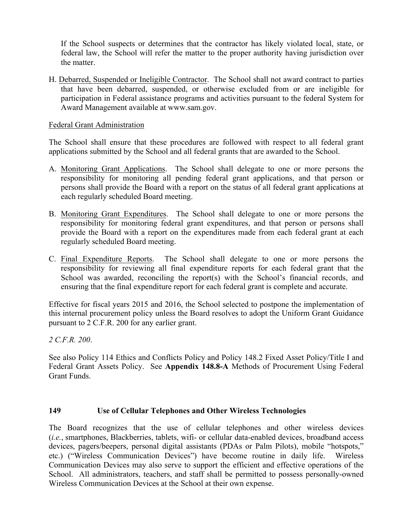If the School suspects or determines that the contractor has likely violated local, state, or federal law, the School will refer the matter to the proper authority having jurisdiction over the matter.

H. Debarred, Suspended or Ineligible Contractor. The School shall not award contract to parties that have been debarred, suspended, or otherwise excluded from or are ineligible for participation in Federal assistance programs and activities pursuant to the federal System for Award Management available at www.sam.gov.

#### Federal Grant Administration

The School shall ensure that these procedures are followed with respect to all federal grant applications submitted by the School and all federal grants that are awarded to the School.

- A. Monitoring Grant Applications. The School shall delegate to one or more persons the responsibility for monitoring all pending federal grant applications, and that person or persons shall provide the Board with a report on the status of all federal grant applications at each regularly scheduled Board meeting.
- B. Monitoring Grant Expenditures. The School shall delegate to one or more persons the responsibility for monitoring federal grant expenditures, and that person or persons shall provide the Board with a report on the expenditures made from each federal grant at each regularly scheduled Board meeting.
- C. Final Expenditure Reports. The School shall delegate to one or more persons the responsibility for reviewing all final expenditure reports for each federal grant that the School was awarded, reconciling the report(s) with the School's financial records, and ensuring that the final expenditure report for each federal grant is complete and accurate.

Effective for fiscal years 2015 and 2016, the School selected to postpone the implementation of this internal procurement policy unless the Board resolves to adopt the Uniform Grant Guidance pursuant to 2 C.F.R. 200 for any earlier grant.

*2 C.F.R. 200*.

See also Policy 114 Ethics and Conflicts Policy and Policy 148.2 Fixed Asset Policy/Title I and Federal Grant Assets Policy. See **Appendix 148.8-A** Methods of Procurement Using Federal Grant Funds.

#### **149 Use of Cellular Telephones and Other Wireless Technologies**

**i** (*i.e.*, smartphones, Blackberries, tablets, wifi- or cellular data-enabled devices, broadband access The Board recognizes that the use of cellular telephones and other wireless devices devices, pagers/beepers, personal digital assistants (PDAs or Palm Pilots), mobile "hotspots," etc.) ("Wireless Communication Devices") have become routine in daily life. Wireless Communication Devices may also serve to support the efficient and effective operations of the School. All administrators, teachers, and staff shall be permitted to possess personally-owned Wireless Communication Devices at the School at their own expense.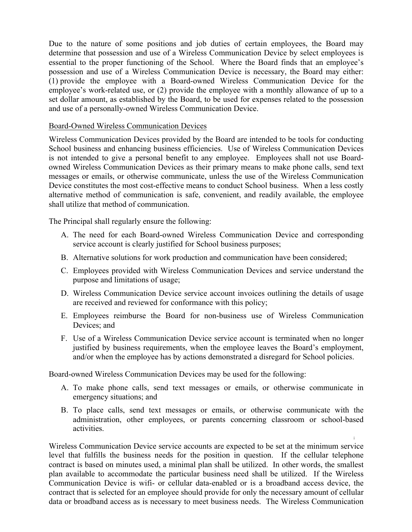Due to the nature of some positions and job duties of certain employees, the Board may determine that possession and use of a Wireless Communication Device by select employees is essential to the proper functioning of the School. Where the Board finds that an employee's possession and use of a Wireless Communication Device is necessary, the Board may either: (1) provide the employee with a Board-owned Wireless Communication Device for the employee's work-related use, or (2) provide the employee with a monthly allowance of up to a set dollar amount, as established by the Board, to be used for expenses related to the possession and use of a personally-owned Wireless Communication Device.

#### Board-Owned Wireless Communication Devices

Wireless Communication Devices provided by the Board are intended to be tools for conducting School business and enhancing business efficiencies. Use of Wireless Communication Devices is not intended to give a personal benefit to any employee. Employees shall not use Boardowned Wireless Communication Devices as their primary means to make phone calls, send text messages or emails, or otherwise communicate, unless the use of the Wireless Communication Device constitutes the most cost-effective means to conduct School business. When a less costly alternative method of communication is safe, convenient, and readily available, the employee shall utilize that method of communication.

The Principal shall regularly ensure the following:

- A. The need for each Board-owned Wireless Communication Device and corresponding service account is clearly justified for School business purposes;
- B. Alternative solutions for work production and communication have been considered;
- C. Employees provided with Wireless Communication Devices and service understand the purpose and limitations of usage;
- D. Wireless Communication Device service account invoices outlining the details of usage are received and reviewed for conformance with this policy;
- E. Employees reimburse the Board for non-business use of Wireless Communication Devices; and
- F. Use of a Wireless Communication Device service account is terminated when no longer justified by business requirements, when the employee leaves the Board's employment, and/or when the employee has by actions demonstrated a disregard for School policies.

Board-owned Wireless Communication Devices may be used for the following:

- A. To make phone calls, send text messages or emails, or otherwise communicate in emergency situations; and
- B. To place calls, send text messages or emails, or otherwise communicate with the administration, other employees, or parents concerning classroom or school-based activities.

**i**

Wireless Communication Device service accounts are expected to be set at the minimum service level that fulfills the business needs for the position in question. If the cellular telephone contract is based on minutes used, a minimal plan shall be utilized. In other words, the smallest plan available to accommodate the particular business need shall be utilized. If the Wireless Communication Device is wifi- or cellular data-enabled or is a broadband access device, the contract that is selected for an employee should provide for only the necessary amount of cellular data or broadband access as is necessary to meet business needs. The Wireless Communication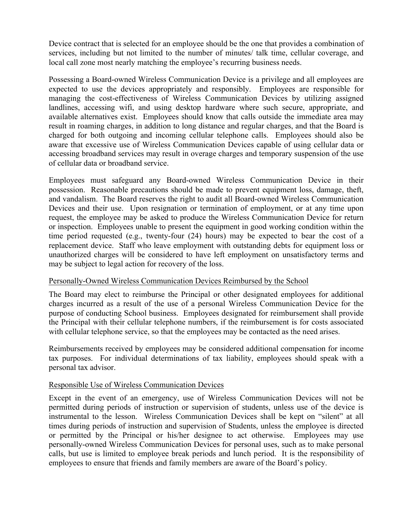Device contract that is selected for an employee should be the one that provides a combination of services, including but not limited to the number of minutes/ talk time, cellular coverage, and local call zone most nearly matching the employee's recurring business needs.

Possessing a Board-owned Wireless Communication Device is a privilege and all employees are expected to use the devices appropriately and responsibly. Employees are responsible for managing the cost-effectiveness of Wireless Communication Devices by utilizing assigned landlines, accessing wifi, and using desktop hardware where such secure, appropriate, and available alternatives exist. Employees should know that calls outside the immediate area may result in roaming charges, in addition to long distance and regular charges, and that the Board is charged for both outgoing and incoming cellular telephone calls. Employees should also be aware that excessive use of Wireless Communication Devices capable of using cellular data or accessing broadband services may result in overage charges and temporary suspension of the use of cellular data or broadband service.

Employees must safeguard any Board-owned Wireless Communication Device in their possession. Reasonable precautions should be made to prevent equipment loss, damage, theft, and vandalism. The Board reserves the right to audit all Board-owned Wireless Communication Devices and their use. Upon resignation or termination of employment, or at any time upon request, the employee may be asked to produce the Wireless Communication Device for return or inspection. Employees unable to present the equipment in good working condition within the time period requested (e.g., twenty-four (24) hours) may be expected to bear the cost of a replacement device. Staff who leave employment with outstanding debts for equipment loss or unauthorized charges will be considered to have left employment on unsatisfactory terms and may be subject to legal action for recovery of the loss.

## Personally-Owned Wireless Communication Devices Reimbursed by the School

The Board may elect to reimburse the Principal or other designated employees for additional charges incurred as a result of the use of a personal Wireless Communication Device for the purpose of conducting School business. Employees designated for reimbursement shall provide the Principal with their cellular telephone numbers, if the reimbursement is for costs associated with cellular telephone service, so that the employees may be contacted as the need arises.

Reimbursements received by employees may be considered additional compensation for income tax purposes. For individual determinations of tax liability, employees should speak with a personal tax advisor.

#### Responsible Use of Wireless Communication Devices

or permitted by the Principal or his/her designee to act otherwise. Employees may use Except in the event of an emergency, use of Wireless Communication Devices will not be permitted during periods of instruction or supervision of students, unless use of the device is instrumental to the lesson. Wireless Communication Devices shall be kept on "silent" at all times during periods of instruction and supervision of Students, unless the employee is directed personally-owned Wireless Communication Devices for personal uses, such as to make personal calls, but use is limited to employee break periods and lunch period. It is the responsibility of employees to ensure that friends and family members are aware of the Board's policy.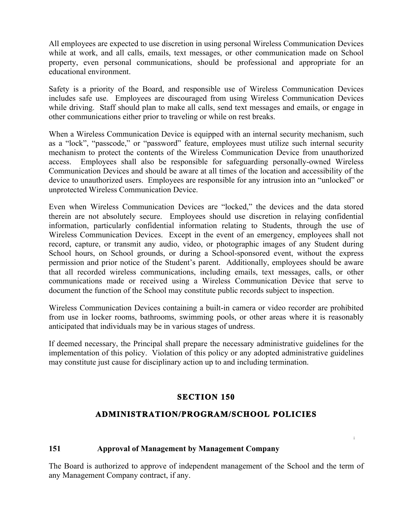All employees are expected to use discretion in using personal Wireless Communication Devices while at work, and all calls, emails, text messages, or other communication made on School property, even personal communications, should be professional and appropriate for an educational environment.

Safety is a priority of the Board, and responsible use of Wireless Communication Devices includes safe use. Employees are discouraged from using Wireless Communication Devices while driving. Staff should plan to make all calls, send text messages and emails, or engage in other communications either prior to traveling or while on rest breaks.

When a Wireless Communication Device is equipped with an internal security mechanism, such as a "lock", "passcode," or "password" feature, employees must utilize such internal security mechanism to protect the contents of the Wireless Communication Device from unauthorized access. Employees shall also be responsible for safeguarding personally-owned Wireless Communication Devices and should be aware at all times of the location and accessibility of the device to unauthorized users. Employees are responsible for any intrusion into an "unlocked" or unprotected Wireless Communication Device.

Even when Wireless Communication Devices are "locked," the devices and the data stored therein are not absolutely secure. Employees should use discretion in relaying confidential information, particularly confidential information relating to Students, through the use of Wireless Communication Devices. Except in the event of an emergency, employees shall not record, capture, or transmit any audio, video, or photographic images of any Student during School hours, on School grounds, or during a School-sponsored event, without the express permission and prior notice of the Student's parent. Additionally, employees should be aware that all recorded wireless communications, including emails, text messages, calls, or other communications made or received using a Wireless Communication Device that serve to document the function of the School may constitute public records subject to inspection.

Wireless Communication Devices containing a built-in camera or video recorder are prohibited from use in locker rooms, bathrooms, swimming pools, or other areas where it is reasonably anticipated that individuals may be in various stages of undress.

If deemed necessary, the Principal shall prepare the necessary administrative guidelines for the implementation of this policy. Violation of this policy or any adopted administrative guidelines may constitute just cause for disciplinary action up to and including termination.

# **SECTION 150**

# **ADMINISTRATION/PROGRAM/SCHOOL POLICIES**

**i**

## **151 Approval of Management by Management Company**

The Board is authorized to approve of independent management of the School and the term of any Management Company contract, if any.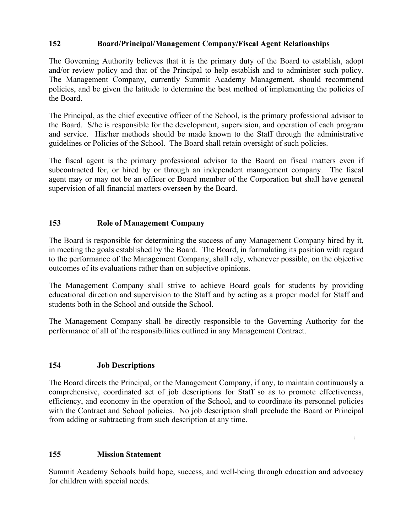## **152 Board/Principal/Management Company/Fiscal Agent Relationships**

The Governing Authority believes that it is the primary duty of the Board to establish, adopt and/or review policy and that of the Principal to help establish and to administer such policy. The Management Company, currently Summit Academy Management, should recommend policies, and be given the latitude to determine the best method of implementing the policies of the Board.

The Principal, as the chief executive officer of the School, is the primary professional advisor to the Board. S/he is responsible for the development, supervision, and operation of each program and service. His/her methods should be made known to the Staff through the administrative guidelines or Policies of the School. The Board shall retain oversight of such policies.

The fiscal agent is the primary professional advisor to the Board on fiscal matters even if subcontracted for, or hired by or through an independent management company. The fiscal agent may or may not be an officer or Board member of the Corporation but shall have general supervision of all financial matters overseen by the Board.

## **153 Role of Management Company**

The Board is responsible for determining the success of any Management Company hired by it, in meeting the goals established by the Board. The Board, in formulating its position with regard to the performance of the Management Company, shall rely, whenever possible, on the objective outcomes of its evaluations rather than on subjective opinions.

The Management Company shall strive to achieve Board goals for students by providing educational direction and supervision to the Staff and by acting as a proper model for Staff and students both in the School and outside the School.

The Management Company shall be directly responsible to the Governing Authority for the performance of all of the responsibilities outlined in any Management Contract.

# **154 Job Descriptions**

The Board directs the Principal, or the Management Company, if any, to maintain continuously a comprehensive, coordinated set of job descriptions for Staff so as to promote effectiveness, efficiency, and economy in the operation of the School, and to coordinate its personnel policies with the Contract and School policies. No job description shall preclude the Board or Principal from adding or subtracting from such description at any time.

**i**

## **155 Mission Statement**

Summit Academy Schools build hope, success, and well-being through education and advocacy for children with special needs.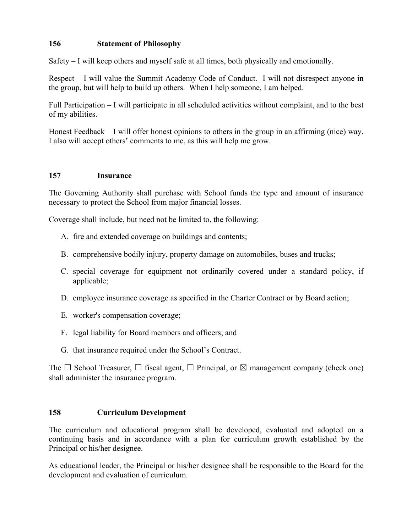## **156 Statement of Philosophy**

Safety – I will keep others and myself safe at all times, both physically and emotionally.

Respect – I will value the Summit Academy Code of Conduct. I will not disrespect anyone in the group, but will help to build up others. When I help someone, I am helped.

Full Participation – I will participate in all scheduled activities without complaint, and to the best of my abilities.

Honest Feedback – I will offer honest opinions to others in the group in an affirming (nice) way. I also will accept others' comments to me, as this will help me grow.

#### **157 Insurance**

The Governing Authority shall purchase with School funds the type and amount of insurance necessary to protect the School from major financial losses.

Coverage shall include, but need not be limited to, the following:

- A. fire and extended coverage on buildings and contents;
- B. comprehensive bodily injury, property damage on automobiles, buses and trucks;
- C. special coverage for equipment not ordinarily covered under a standard policy, if applicable;
- D. employee insurance coverage as specified in the Charter Contract or by Board action;
- E. worker's compensation coverage;
- F. legal liability for Board members and officers; and
- G. that insurance required under the School's Contract.

The  $\Box$  School Treasurer,  $\Box$  fiscal agent,  $\Box$  Principal, or  $\boxtimes$  management company (check one) shall administer the insurance program.

#### **158 Curriculum Development**

continuing basis and in accordance with a plan for curriculum growth established by the The curriculum and educational program shall be developed, evaluated and adopted on a Principal or his/her designee.

As educational leader, the Principal or his/her designee shall be responsible to the Board for the development and evaluation of curriculum.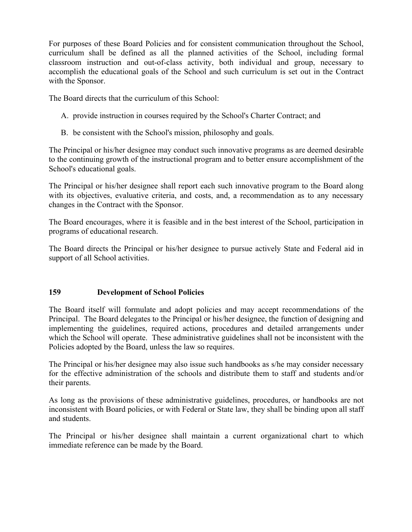For purposes of these Board Policies and for consistent communication throughout the School, curriculum shall be defined as all the planned activities of the School, including formal classroom instruction and out-of-class activity, both individual and group, necessary to accomplish the educational goals of the School and such curriculum is set out in the Contract with the Sponsor.

The Board directs that the curriculum of this School:

- A. provide instruction in courses required by the School's Charter Contract; and
- B. be consistent with the School's mission, philosophy and goals.

The Principal or his/her designee may conduct such innovative programs as are deemed desirable to the continuing growth of the instructional program and to better ensure accomplishment of the School's educational goals.

The Principal or his/her designee shall report each such innovative program to the Board along with its objectives, evaluative criteria, and costs, and, a recommendation as to any necessary changes in the Contract with the Sponsor.

The Board encourages, where it is feasible and in the best interest of the School, participation in programs of educational research.

The Board directs the Principal or his/her designee to pursue actively State and Federal aid in support of all School activities.

## **159 Development of School Policies**

The Board itself will formulate and adopt policies and may accept recommendations of the Principal. The Board delegates to the Principal or his/her designee, the function of designing and implementing the guidelines, required actions, procedures and detailed arrangements under which the School will operate. These administrative guidelines shall not be inconsistent with the Policies adopted by the Board, unless the law so requires.

The Principal or his/her designee may also issue such handbooks as s/he may consider necessary for the effective administration of the schools and distribute them to staff and students and/or their parents.

As long as the provisions of these administrative guidelines, procedures, or handbooks are not inconsistent with Board policies, or with Federal or State law, they shall be binding upon all staff and students.

The Principal or his/her designee shall maintain a current organizational chart to which immediate reference can be made by the Board.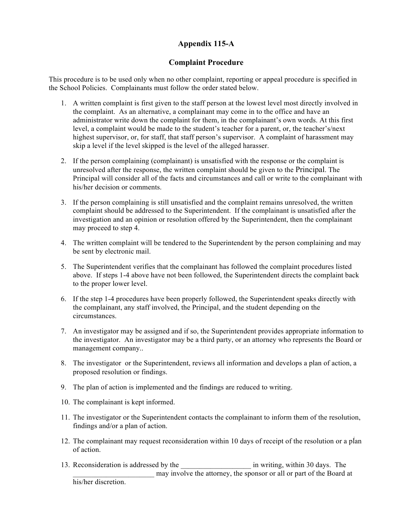## **Appendix 115-A**

### **Complaint Procedure**

This procedure is to be used only when no other complaint, reporting or appeal procedure is specified in the School Policies. Complainants must follow the order stated below.

- 1. A written complaint is first given to the staff person at the lowest level most directly involved in the complaint. As an alternative, a complainant may come in to the office and have an administrator write down the complaint for them, in the complainant's own words. At this first level, a complaint would be made to the student's teacher for a parent, or, the teacher's/next highest supervisor, or, for staff, that staff person's supervisor. A complaint of harassment may skip a level if the level skipped is the level of the alleged harasser.
- 2. If the person complaining (complainant) is unsatisfied with the response or the complaint is unresolved after the response, the written complaint should be given to the Principal. The Principal will consider all of the facts and circumstances and call or write to the complainant with his/her decision or comments.
- 3. If the person complaining is still unsatisfied and the complaint remains unresolved, the written complaint should be addressed to the Superintendent. If the complainant is unsatisfied after the investigation and an opinion or resolution offered by the Superintendent, then the complainant may proceed to step 4.
- 4. The written complaint will be tendered to the Superintendent by the person complaining and may be sent by electronic mail.
- 5. The Superintendent verifies that the complainant has followed the complaint procedures listed above. If steps 1-4 above have not been followed, the Superintendent directs the complaint back to the proper lower level.
- 6. If the step 1-4 procedures have been properly followed, the Superintendent speaks directly with the complainant, any staff involved, the Principal, and the student depending on the circumstances.
- 7. An investigator may be assigned and if so, the Superintendent provides appropriate information to the investigator. An investigator may be a third party, or an attorney who represents the Board or management company..
- 8. The investigator or the Superintendent, reviews all information and develops a plan of action, a proposed resolution or findings.
- 9. The plan of action is implemented and the findings are reduced to writing.
- 10. The complainant is kept informed.
- 11. The investigator or the Superintendent contacts the complainant to inform them of the resolution, findings and/or a plan of action.
- 12. The complainant may request reconsideration within 10 days of receipt of the resolution or a plan of action.
- 13. Reconsideration is addressed by the  $\qquad$  in writing, within 30 days. The may involve the attorney, the sponsor or all or part of the Board at his/her discretion.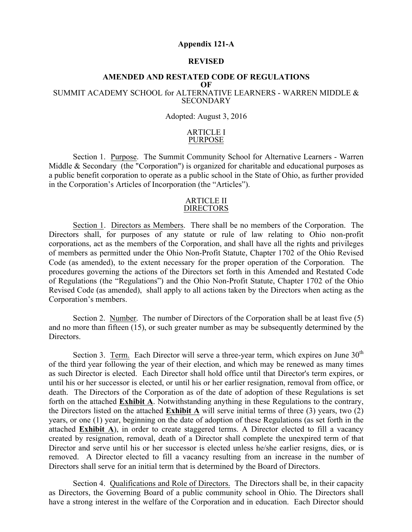#### **Appendix 121-A**

#### **REVISED**

#### **AMENDED AND RESTATED CODE OF REGULATIONS**

#### **OF**

#### SUMMIT ACADEMY SCHOOL for ALTERNATIVE LEARNERS - WARREN MIDDLE & **SECONDARY**

#### Adopted: August 3, 2016

#### ARTICLE I PURPOSE

Section 1. Purpose. The Summit Community School for Alternative Learners - Warren Middle & Secondary (the "Corporation") is organized for charitable and educational purposes as a public benefit corporation to operate as a public school in the State of Ohio, as further provided in the Corporation's Articles of Incorporation (the "Articles").

#### ARTICLE II DIRECTORS

Section 1. Directors as Members. There shall be no members of the Corporation. The Directors shall, for purposes of any statute or rule of law relating to Ohio non-profit corporations, act as the members of the Corporation, and shall have all the rights and privileges of members as permitted under the Ohio Non-Profit Statute, Chapter 1702 of the Ohio Revised Code (as amended), to the extent necessary for the proper operation of the Corporation. The procedures governing the actions of the Directors set forth in this Amended and Restated Code of Regulations (the "Regulations") and the Ohio Non-Profit Statute, Chapter 1702 of the Ohio Revised Code (as amended), shall apply to all actions taken by the Directors when acting as the Corporation's members.

Section 2. Number. The number of Directors of the Corporation shall be at least five (5) and no more than fifteen (15), or such greater number as may be subsequently determined by the Directors.

created by resignation, removal, death of a Director shall complete the unexpired term of that Section 3. Term. Each Director will serve a three-year term, which expires on June  $30<sup>th</sup>$ of the third year following the year of their election, and which may be renewed as many times as such Director is elected. Each Director shall hold office until that Director's term expires, or until his or her successor is elected, or until his or her earlier resignation, removal from office, or death. The Directors of the Corporation as of the date of adoption of these Regulations is set forth on the attached **Exhibit A**. Notwithstanding anything in these Regulations to the contrary, the Directors listed on the attached **Exhibit A** will serve initial terms of three (3) years, two (2) years, or one (1) year, beginning on the date of adoption of these Regulations (as set forth in the attached **Exhibit A**), in order to create staggered terms. A Director elected to fill a vacancy Director and serve until his or her successor is elected unless he/she earlier resigns, dies, or is removed. A Director elected to fill a vacancy resulting from an increase in the number of Directors shall serve for an initial term that is determined by the Board of Directors.

Section 4. Qualifications and Role of Directors. The Directors shall be, in their capacity as Directors, the Governing Board of a public community school in Ohio. The Directors shall have a strong interest in the welfare of the Corporation and in education. Each Director should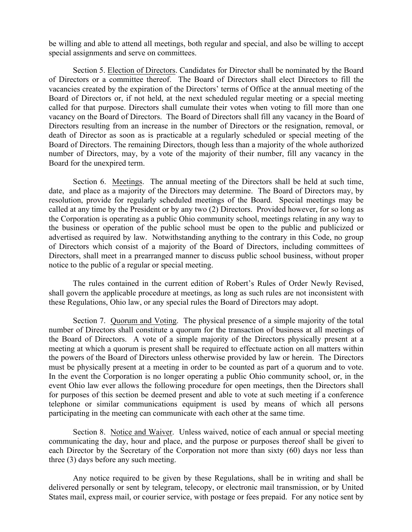be willing and able to attend all meetings, both regular and special, and also be willing to accept special assignments and serve on committees.

Section 5. Election of Directors. Candidates for Director shall be nominated by the Board of Directors or a committee thereof. The Board of Directors shall elect Directors to fill the vacancies created by the expiration of the Directors' terms of Office at the annual meeting of the Board of Directors or, if not held, at the next scheduled regular meeting or a special meeting called for that purpose. Directors shall cumulate their votes when voting to fill more than one vacancy on the Board of Directors. The Board of Directors shall fill any vacancy in the Board of Directors resulting from an increase in the number of Directors or the resignation, removal, or death of Director as soon as is practicable at a regularly scheduled or special meeting of the Board of Directors. The remaining Directors, though less than a majority of the whole authorized number of Directors, may, by a vote of the majority of their number, fill any vacancy in the Board for the unexpired term.

Section 6. Meetings. The annual meeting of the Directors shall be held at such time, date, and place as a majority of the Directors may determine. The Board of Directors may, by resolution, provide for regularly scheduled meetings of the Board. Special meetings may be called at any time by the President or by any two (2) Directors. Provided however, for so long as the Corporation is operating as a public Ohio community school, meetings relating in any way to the business or operation of the public school must be open to the public and publicized or advertised as required by law. Notwithstanding anything to the contrary in this Code, no group of Directors which consist of a majority of the Board of Directors, including committees of Directors, shall meet in a prearranged manner to discuss public school business, without proper notice to the public of a regular or special meeting.

The rules contained in the current edition of Robert's Rules of Order Newly Revised, shall govern the applicable procedure at meetings, as long as such rules are not inconsistent with these Regulations, Ohio law, or any special rules the Board of Directors may adopt.

Section 7. Quorum and Voting. The physical presence of a simple majority of the total number of Directors shall constitute a quorum for the transaction of business at all meetings of the Board of Directors. A vote of a simple majority of the Directors physically present at a meeting at which a quorum is present shall be required to effectuate action on all matters within the powers of the Board of Directors unless otherwise provided by law or herein. The Directors must be physically present at a meeting in order to be counted as part of a quorum and to vote. In the event the Corporation is no longer operating a public Ohio community school, or, in the event Ohio law ever allows the following procedure for open meetings, then the Directors shall for purposes of this section be deemed present and able to vote at such meeting if a conference telephone or similar communications equipment is used by means of which all persons participating in the meeting can communicate with each other at the same time.

communicating the day, hour and place, and the purpose or purposes thereof shall be given to Section 8. Notice and Waiver. Unless waived, notice of each annual or special meeting each Director by the Secretary of the Corporation not more than sixty (60) days nor less than three (3) days before any such meeting.

Any notice required to be given by these Regulations, shall be in writing and shall be delivered personally or sent by telegram, telecopy, or electronic mail transmission, or by United States mail, express mail, or courier service, with postage or fees prepaid. For any notice sent by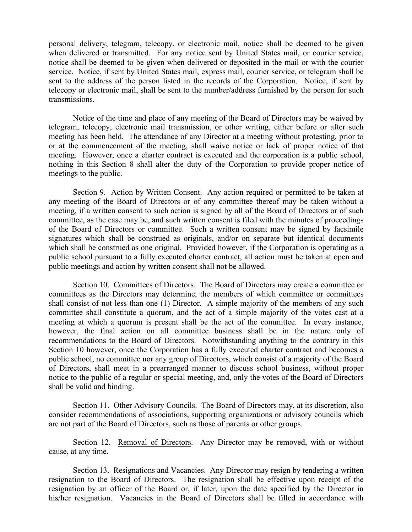personal delivery, telegram, telecopy, or electronic mail, notice shall be deemed to be given when delivered or transmitted. For any notice sent by United States mail, or courier service, notice shall be deemed to be given when delivered or deposited in the mail or with the courier service. Notice, if sent by United States mail, express mail, courier service, or telegram shall be sent to the address of the person listed in the records of the Corporation. Notice, if sent by telecopy or electronic mail, shall be sent to the number/address furnished by the person for such transmissions.

Notice of the time and place of any meeting of the Board of Directors may be waived by telegram, telecopy, electronic mail transmission, or other writing, either before or after such meeting has been held. The attendance of any Director at a meeting without protesting, prior to or at the commencement of the meeting, shall waive notice or lack of proper notice of that meeting. However, once a charter contract is executed and the corporation is a public school, nothing in this Section 8 shall alter the duty of the Corporation to provide proper notice of meetings to the public.

Section 9. Action by Written Consent. Any action required or permitted to be taken at any meeting of the Board of Directors or of any committee thereof may be taken without a meeting, if a written consent to such action is signed by all of the Board of Directors or of such committee, as the case may be, and such written consent is filed with the minutes of proceedings of the Board of Directors or committee. Such a written consent may be signed by facsimile signatures which shall be construed as originals, and/or on separate but identical documents which shall be construed as one original. Provided however, if the Corporation is operating as a public school pursuant to a fully executed charter contract, all action must be taken at open and public meetings and action by written consent shall not be allowed.

Section 10. Committees of Directors. The Board of Directors may create a committee or committees as the Directors may determine, the members of which committee or committees shall consist of not less than one (1) Director. A simple majority of the members of any such committee shall constitute a quorum, and the act of a simple majority of the votes cast at a meeting at which a quorum is present shall be the act of the committee. In every instance, however, the final action on all committee business shall be in the nature only of recommendations to the Board of Directors. Notwithstanding anything to the contrary in this Section 10 however, once the Corporation has a fully executed charter contract and becomes a public school, no committee nor any group of Directors, which consist of a majority of the Board of Directors, shall meet in a prearranged manner to discuss school business, without proper notice to the public of a regular or special meeting, and, only the votes of the Board of Directors shall be valid and binding.

Section 11. Other Advisory Councils. The Board of Directors may, at its discretion, also consider recommendations of associations, supporting organizations or advisory councils which are not part of the Board of Directors, such as those of parents or other groups.

Section 12. Removal of Directors. Any Director may be removed, with or without cause, at any time.

Section 13. Resignations and Vacancies. Any Director may resign by tendering a written resignation to the Board of Directors. The resignation shall be effective upon receipt of the resignation by an officer of the Board or, if later, upon the date specified by the Director in his/her resignation. Vacancies in the Board of Directors shall be filled in accordance with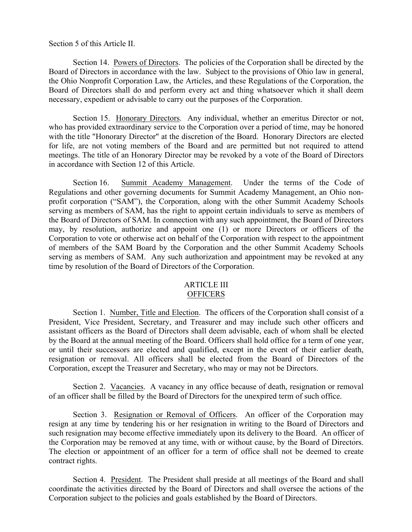Section 5 of this Article II.

Section 14. Powers of Directors. The policies of the Corporation shall be directed by the Board of Directors in accordance with the law. Subject to the provisions of Ohio law in general, the Ohio Nonprofit Corporation Law, the Articles, and these Regulations of the Corporation, the Board of Directors shall do and perform every act and thing whatsoever which it shall deem necessary, expedient or advisable to carry out the purposes of the Corporation.

Section 15. Honorary Directors. Any individual, whether an emeritus Director or not, who has provided extraordinary service to the Corporation over a period of time, may be honored with the title "Honorary Director" at the discretion of the Board. Honorary Directors are elected for life, are not voting members of the Board and are permitted but not required to attend meetings. The title of an Honorary Director may be revoked by a vote of the Board of Directors in accordance with Section 12 of this Article.

Section 16. Summit Academy Management. Under the terms of the Code of Regulations and other governing documents for Summit Academy Management, an Ohio nonprofit corporation ("SAM"), the Corporation, along with the other Summit Academy Schools serving as members of SAM, has the right to appoint certain individuals to serve as members of the Board of Directors of SAM. In connection with any such appointment, the Board of Directors may, by resolution, authorize and appoint one (1) or more Directors or officers of the Corporation to vote or otherwise act on behalf of the Corporation with respect to the appointment of members of the SAM Board by the Corporation and the other Summit Academy Schools serving as members of SAM. Any such authorization and appointment may be revoked at any time by resolution of the Board of Directors of the Corporation.

#### ARTICLE III **OFFICERS**

Section 1. Number, Title and Election. The officers of the Corporation shall consist of a President, Vice President, Secretary, and Treasurer and may include such other officers and assistant officers as the Board of Directors shall deem advisable, each of whom shall be elected by the Board at the annual meeting of the Board. Officers shall hold office for a term of one year, or until their successors are elected and qualified, except in the event of their earlier death, resignation or removal. All officers shall be elected from the Board of Directors of the Corporation, except the Treasurer and Secretary, who may or may not be Directors.

Section 2. Vacancies. A vacancy in any office because of death, resignation or removal of an officer shall be filled by the Board of Directors for the unexpired term of such office.

the Corporation may be removed at any time, with or without cause, by the Board of Directors. Section 3. Resignation or Removal of Officers. An officer of the Corporation may resign at any time by tendering his or her resignation in writing to the Board of Directors and such resignation may become effective immediately upon its delivery to the Board. An officer of The election or appointment of an officer for a term of office shall not be deemed to create contract rights.

Section 4. President. The President shall preside at all meetings of the Board and shall coordinate the activities directed by the Board of Directors and shall oversee the actions of the Corporation subject to the policies and goals established by the Board of Directors.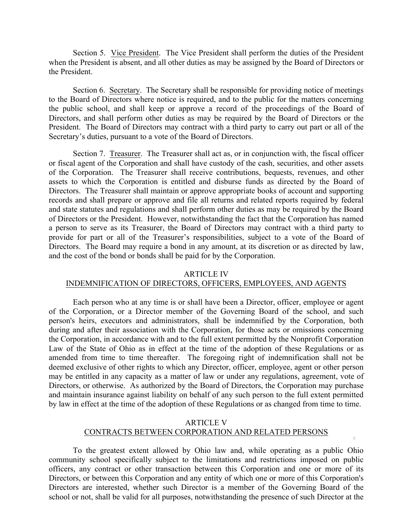Section 5. Vice President. The Vice President shall perform the duties of the President when the President is absent, and all other duties as may be assigned by the Board of Directors or the President.

Section 6. Secretary. The Secretary shall be responsible for providing notice of meetings to the Board of Directors where notice is required, and to the public for the matters concerning the public school, and shall keep or approve a record of the proceedings of the Board of Directors, and shall perform other duties as may be required by the Board of Directors or the President. The Board of Directors may contract with a third party to carry out part or all of the Secretary's duties, pursuant to a vote of the Board of Directors.

Section 7. Treasurer. The Treasurer shall act as, or in conjunction with, the fiscal officer or fiscal agent of the Corporation and shall have custody of the cash, securities, and other assets of the Corporation. The Treasurer shall receive contributions, bequests, revenues, and other assets to which the Corporation is entitled and disburse funds as directed by the Board of Directors. The Treasurer shall maintain or approve appropriate books of account and supporting records and shall prepare or approve and file all returns and related reports required by federal and state statutes and regulations and shall perform other duties as may be required by the Board of Directors or the President. However, notwithstanding the fact that the Corporation has named a person to serve as its Treasurer, the Board of Directors may contract with a third party to provide for part or all of the Treasurer's responsibilities, subject to a vote of the Board of Directors. The Board may require a bond in any amount, at its discretion or as directed by law, and the cost of the bond or bonds shall be paid for by the Corporation.

#### ARTICLE IV

#### INDEMNIFICATION OF DIRECTORS, OFFICERS, EMPLOYEES, AND AGENTS

Each person who at any time is or shall have been a Director, officer, employee or agent of the Corporation, or a Director member of the Governing Board of the school, and such person's heirs, executors and administrators, shall be indemnified by the Corporation, both during and after their association with the Corporation, for those acts or omissions concerning the Corporation, in accordance with and to the full extent permitted by the Nonprofit Corporation Law of the State of Ohio as in effect at the time of the adoption of these Regulations or as amended from time to time thereafter. The foregoing right of indemnification shall not be deemed exclusive of other rights to which any Director, officer, employee, agent or other person may be entitled in any capacity as a matter of law or under any regulations, agreement, vote of Directors, or otherwise. As authorized by the Board of Directors, the Corporation may purchase and maintain insurance against liability on behalf of any such person to the full extent permitted by law in effect at the time of the adoption of these Regulations or as changed from time to time.

#### ARTICLE V CONTRACTS BETWEEN CORPORATION AND RELATED PERSONS

**i**

To the greatest extent allowed by Ohio law and, while operating as a public Ohio community school specifically subject to the limitations and restrictions imposed on public officers, any contract or other transaction between this Corporation and one or more of its Directors, or between this Corporation and any entity of which one or more of this Corporation's Directors are interested, whether such Director is a member of the Governing Board of the school or not, shall be valid for all purposes, notwithstanding the presence of such Director at the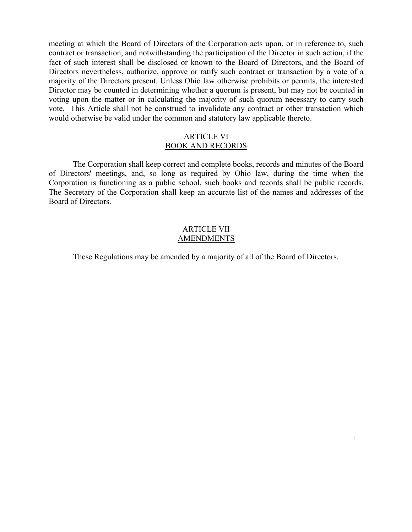meeting at which the Board of Directors of the Corporation acts upon, or in reference to, such contract or transaction, and notwithstanding the participation of the Director in such action, if the fact of such interest shall be disclosed or known to the Board of Directors, and the Board of Directors nevertheless, authorize, approve or ratify such contract or transaction by a vote of a majority of the Directors present. Unless Ohio law otherwise prohibits or permits, the interested Director may be counted in determining whether a quorum is present, but may not be counted in voting upon the matter or in calculating the majority of such quorum necessary to carry such vote. This Article shall not be construed to invalidate any contract or other transaction which would otherwise be valid under the common and statutory law applicable thereto.

#### ARTICLE VI BOOK AND RECORDS

The Corporation shall keep correct and complete books, records and minutes of the Board of Directors' meetings, and, so long as required by Ohio law, during the time when the Corporation is functioning as a public school, such books and records shall be public records. The Secretary of the Corporation shall keep an accurate list of the names and addresses of the Board of Directors.

#### ARTICLE VII AMENDMENTS

These Regulations may be amended by a majority of all of the Board of Directors.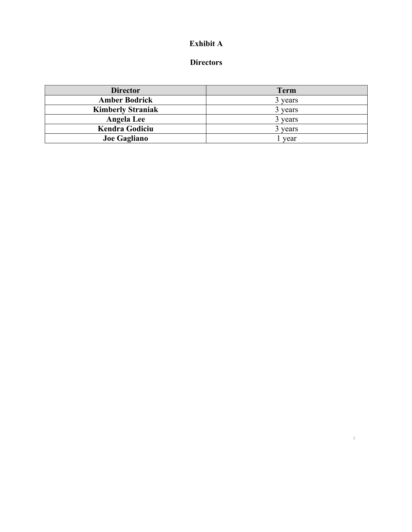## **Exhibit A**

## **Directors**

| <b>Director</b>          | <b>Term</b> |
|--------------------------|-------------|
| <b>Amber Bodrick</b>     | 3 years     |
| <b>Kimberly Straniak</b> | 3 years     |
| Angela Lee               | 3 years     |
| <b>Kendra Godiciu</b>    | 3 years     |
| <b>Joe Gagliano</b>      | year        |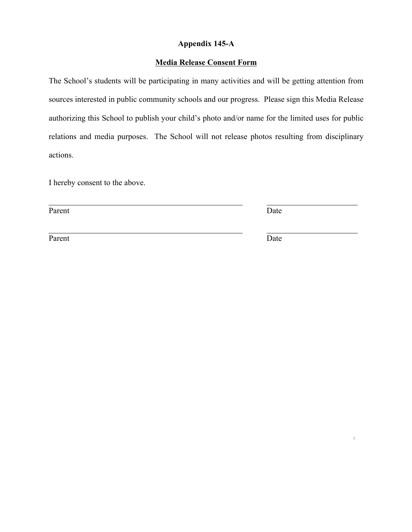## **Appendix 145-A**

### **Media Release Consent Form**

The School's students will be participating in many activities and will be getting attention from sources interested in public community schools and our progress. Please sign this Media Release authorizing this School to publish your child's photo and/or name for the limited uses for public relations and media purposes. The School will not release photos resulting from disciplinary actions.

I hereby consent to the above.

Parent Date

Parent Date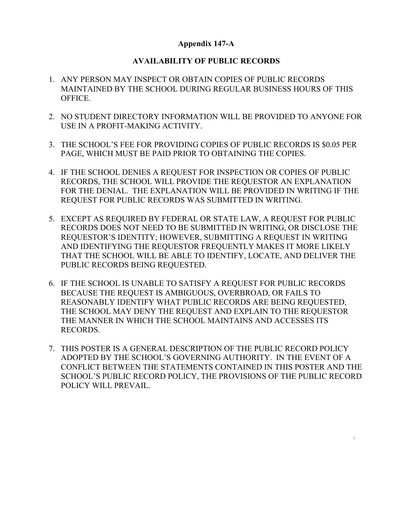### **Appendix 147-A**

## **AVAILABILITY OF PUBLIC RECORDS**

- 1. ANY PERSON MAY INSPECT OR OBTAIN COPIES OF PUBLIC RECORDS MAINTAINED BY THE SCHOOL DURING REGULAR BUSINESS HOURS OF THIS OFFICE.
- 2. NO STUDENT DIRECTORY INFORMATION WILL BE PROVIDED TO ANYONE FOR USE IN A PROFIT-MAKING ACTIVITY.
- 3. THE SCHOOL'S FEE FOR PROVIDING COPIES OF PUBLIC RECORDS IS \$0.05 PER PAGE, WHICH MUST BE PAID PRIOR TO OBTAINING THE COPIES.
- 4. IF THE SCHOOL DENIES A REQUEST FOR INSPECTION OR COPIES OF PUBLIC RECORDS, THE SCHOOL WILL PROVIDE THE REQUESTOR AN EXPLANATION FOR THE DENIAL. THE EXPLANATION WILL BE PROVIDED IN WRITING IF THE REQUEST FOR PUBLIC RECORDS WAS SUBMITTED IN WRITING.
- 5. EXCEPT AS REQUIRED BY FEDERAL OR STATE LAW, A REQUEST FOR PUBLIC RECORDS DOES NOT NEED TO BE SUBMITTED IN WRITING, OR DISCLOSE THE REQUESTOR'S IDENTITY; HOWEVER, SUBMITTING A REQUEST IN WRITING AND IDENTIFYING THE REQUESTOR FREQUENTLY MAKES IT MORE LIKELY THAT THE SCHOOL WILL BE ABLE TO IDENTIFY, LOCATE, AND DELIVER THE PUBLIC RECORDS BEING REQUESTED.
- 6. IF THE SCHOOL IS UNABLE TO SATISFY A REQUEST FOR PUBLIC RECORDS BECAUSE THE REQUEST IS AMBIGUOUS, OVERBROAD, OR FAILS TO REASONABLY IDENTIFY WHAT PUBLIC RECORDS ARE BEING REQUESTED, THE SCHOOL MAY DENY THE REQUEST AND EXPLAIN TO THE REQUESTOR THE MANNER IN WHICH THE SCHOOL MAINTAINS AND ACCESSES ITS RECORDS.
- 7. THIS POSTER IS A GENERAL DESCRIPTION OF THE PUBLIC RECORD POLICY ADOPTED BY THE SCHOOL'S GOVERNING AUTHORITY. IN THE EVENT OF A CONFLICT BETWEEN THE STATEMENTS CONTAINED IN THIS POSTER AND THE SCHOOL'S PUBLIC RECORD POLICY, THE PROVISIONS OF THE PUBLIC RECORD POLICY WILL PREVAIL.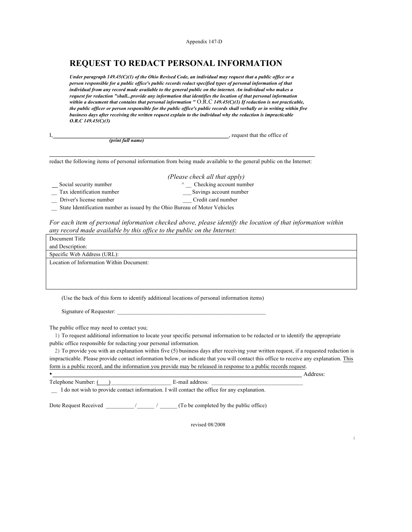Appendix 147-D

# **REQUEST TO REDACT PERSONAL INFORMATION**

*Under paragraph 149.45(C)(1) of the Ohio Revised Code, an individual may request that a public office or a person responsible for a public office's public records redact specified types of personal information of that individual from any record made available to the general public on the internet. An individual who makes a request for redaction "shall...provide any information that identifies the location of that personal information within a document that contains that personal information "* O.R.C *149.45(C)(1) If redaction is not practicable, the public officer or person responsible for the public office's public records shall verbally or in writing within five business days after receiving the written request explain to the individual why the redaction is impracticable O.R.C 149.45(C)(3)*

|                   | , request that the office of |
|-------------------|------------------------------|
| (print full name) |                              |
|                   |                              |

redact the following items of personal information from being made available to the general public on the Internet:

- Social security number ^ \_\_ Checking account number
- *(Please check all that apply)*
- - Tax identification number \_\_\_\_ Savings account number
- Driver's license number \_\_\_ Credit card number
- \_\_ State Identification number as issued by the Ohio Bureau of Motor Vehicles

*For each item of personal information checked above, please identify the location of that information within any record made available by this office to the public on the Internet:* 

| Document Title                           |
|------------------------------------------|
| and Description:                         |
| Specific Web Address (URL):              |
| Location of Information Within Document: |
|                                          |
|                                          |
|                                          |

(Use the back of this form to identify additional locations of personal information items)

Signature of Requester:

The public office may need to contact you;

1) To request additional information to locate your specific personal information to be redacted or to identify the appropriate public office responsible for redacting your personal information.

2) To provide you with an explanation within five (5) business days after receiving your written request, if a requested redaction is impracticable. Please provide contact information below, or indicate that you will contact this office to receive any explanation. This form is a public record, and the information you provide may be released in response to a public records request.

•  $\frac{1}{2}$  Address: Telephone Number:  $($ 

\_\_ I do not wish to provide contact information. I will contact the office for any explanation.

Dote Request Received \_\_\_\_\_\_\_\_\_\_ /\_\_\_\_\_\_ / \_\_\_\_\_\_ (To be completed by the public office)

revised 08/2008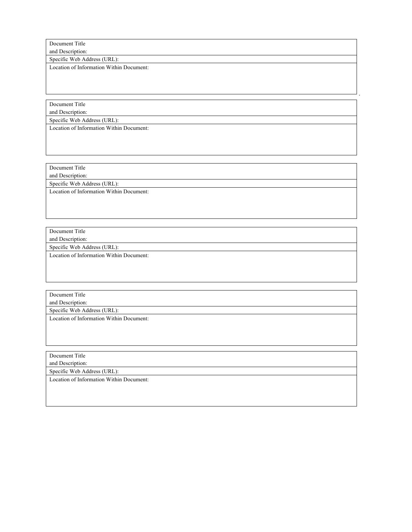Document Title

and Description:

Specific Web Address (URL):

Location of Information Within Document:

\*

Document Title

and Description: Specific Web Address (URL):

Location of Information Within Document:

Document Title and Description: Specific Web Address (URL):

Location of Information Within Document:

Document Title

and Description: Specific Web Address (URL):

Location of Information Within Document:

Document Title

and Description: Specific Web Address (URL):

Location of Information Within Document:

Document Title

and Description:

Specific Web Address (URL):

Location of Information Within Document: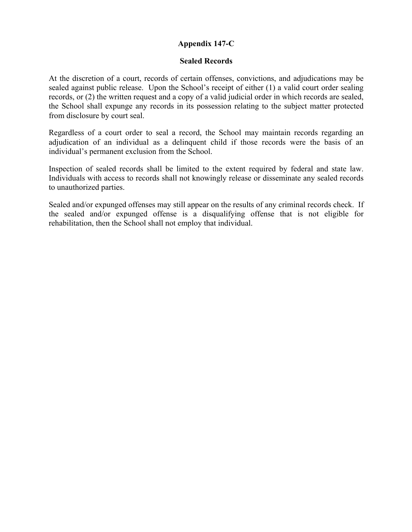## **Appendix 147-C**

### **Sealed Records**

At the discretion of a court, records of certain offenses, convictions, and adjudications may be sealed against public release. Upon the School's receipt of either (1) a valid court order sealing records, or (2) the written request and a copy of a valid judicial order in which records are sealed, the School shall expunge any records in its possession relating to the subject matter protected from disclosure by court seal.

Regardless of a court order to seal a record, the School may maintain records regarding an adjudication of an individual as a delinquent child if those records were the basis of an individual's permanent exclusion from the School.

Inspection of sealed records shall be limited to the extent required by federal and state law. Individuals with access to records shall not knowingly release or disseminate any sealed records to unauthorized parties.

Sealed and/or expunged offenses may still appear on the results of any criminal records check. If the sealed and/or expunged offense is a disqualifying offense that is not eligible for rehabilitation, then the School shall not employ that individual.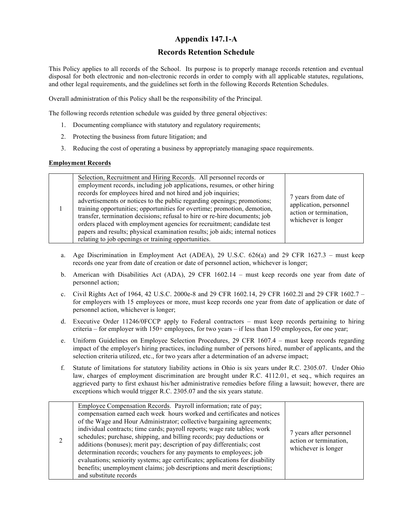### **Appendix 147.1-A**

#### **Records Retention Schedule**

This Policy applies to all records of the School. Its purpose is to properly manage records retention and eventual disposal for both electronic and non-electronic records in order to comply with all applicable statutes, regulations, and other legal requirements, and the guidelines set forth in the following Records Retention Schedules.

Overall administration of this Policy shall be the responsibility of the Principal.

The following records retention schedule was guided by three general objectives:

- 1. Documenting compliance with statutory and regulatory requirements;
- 2. Protecting the business from future litigation; and
- 3. Reducing the cost of operating a business by appropriately managing space requirements.

#### **Employment Records**

|  | Selection, Recruitment and Hiring Records. All personnel records or<br>employment records, including job applications, resumes, or other hiring<br>records for employees hired and not hired and job inquiries;<br>advertisements or notices to the public regarding openings; promotions;<br>training opportunities; opportunities for overtime; promotion, demotion,<br>transfer, termination decisions; refusal to hire or re-hire documents; job<br>orders placed with employment agencies for recruitment; candidate test<br>papers and results; physical examination results; job aids; internal notices<br>relating to job openings or training opportunities. | 7 years from date of<br>application, personnel<br>action or termination,<br>whichever is longer |
|--|-----------------------------------------------------------------------------------------------------------------------------------------------------------------------------------------------------------------------------------------------------------------------------------------------------------------------------------------------------------------------------------------------------------------------------------------------------------------------------------------------------------------------------------------------------------------------------------------------------------------------------------------------------------------------|-------------------------------------------------------------------------------------------------|
|--|-----------------------------------------------------------------------------------------------------------------------------------------------------------------------------------------------------------------------------------------------------------------------------------------------------------------------------------------------------------------------------------------------------------------------------------------------------------------------------------------------------------------------------------------------------------------------------------------------------------------------------------------------------------------------|-------------------------------------------------------------------------------------------------|

- a. Age Discrimination in Employment Act (ADEA), 29 U.S.C. 626(a) and 29 CFR 1627.3 must keep records one year from date of creation or date of personnel action, whichever is longer;
- b. American with Disabilities Act (ADA), 29 CFR 1602.14 must keep records one year from date of personnel action;
- c. Civil Rights Act of 1964, 42 U.S.C. 2000e-8 and 29 CFR 1602.14, 29 CFR 1602.2l and 29 CFR 1602.7 for employers with 15 employees or more, must keep records one year from date of application or date of personnel action, whichever is longer;
- d. Executive Order 11246/0FCCP apply to Federal contractors must keep records pertaining to hiring criteria – for employer with 150+ employees, for two years – if less than 150 employees, for one year;
- e. Uniform Guidelines on Employee Selection Procedures, 29 CFR 1607.4 must keep records regarding impact of the employer's hiring practices, including number of persons hired, number of applicants, and the selection criteria utilized, etc., for two years after a determination of an adverse impact;
- f. Statute of limitations for statutory liability actions in Ohio is six years under R.C. 2305.07. Under Ohio law, charges of employment discrimination are brought under R.C. 4112.01, et seq., which requires an aggrieved party to first exhaust his/her administrative remedies before filing a lawsuit; however, there are exceptions which would trigger R.C. 2305.07 and the six years statute.

|  | Employee Compensation Records. Payroll information; rate of pay;<br>compensation earned each week hours worked and certificates and notices<br>of the Wage and Hour Administrator; collective bargaining agreements;<br>individual contracts; time cards; payroll reports; wage rate tables; work<br>schedules; purchase, shipping, and billing records; pay deductions or<br>additions (bonuses); merit pay; description of pay differentials; cost<br>determination records; vouchers for any payments to employees; job<br>evaluations; seniority systems; age certificates; applications for disability<br>benefits; unemployment claims; job descriptions and merit descriptions;<br>and substitute records | 7 years after personnel<br>action or termination,<br>whichever is longer |
|--|------------------------------------------------------------------------------------------------------------------------------------------------------------------------------------------------------------------------------------------------------------------------------------------------------------------------------------------------------------------------------------------------------------------------------------------------------------------------------------------------------------------------------------------------------------------------------------------------------------------------------------------------------------------------------------------------------------------|--------------------------------------------------------------------------|
|--|------------------------------------------------------------------------------------------------------------------------------------------------------------------------------------------------------------------------------------------------------------------------------------------------------------------------------------------------------------------------------------------------------------------------------------------------------------------------------------------------------------------------------------------------------------------------------------------------------------------------------------------------------------------------------------------------------------------|--------------------------------------------------------------------------|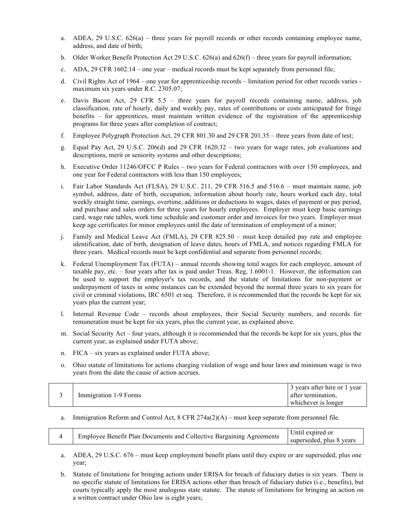- a. ADEA, 29 U.S.C.  $626(a)$  three years for payroll records or other records containing employee name, address, and date of birth;
- b. Older Worker Benefit Protection Act 29 U.S.C. 626(a) and 626(f) three years for payroll information;
- c. ADA, 29 CFR 1602.14 one year medical records must be kept separately from personnel file;
- d. Civil Rights Act of 1964 one year for apprenticeship records limitation period for other records varies maximum six years under R.C. 2305.07;
- e. Davis Bacon Act, 29 CFR 5.5 three years for payroll records containing name, address, job classification, rate of hourly, daily and weekly pay, rates of contributions or costs anticipated for fringe benefits – for apprentices, must maintain written evidence of the registration of the apprenticeship programs for three years after completion of contract;
- f. Employee Polygraph Protection Act, 29 CFR 801.30 and 29 CFR 201.35 three years from date of test;
- g. Equal Pay Act, 29 U.S.C. 206(d) and 29 CFR 1620.32 two years for wage rates, job evaluations and descriptions, merit or seniority systems and other descriptions;
- h. Executive Order 11246/OFCC P Rules two years for Federal contractors with over 150 employees, and one year for Federal contractors with less than 150 employees;
- i. Fair Labor Standards Act (FLSA), 29 U.S.C. 211, 29 CFR 516.5 and 516.6 must maintain name, job symbol, address, date of birth, occupation, information about hourly rate, hours worked each day, total weekly straight time, earnings, overtime, additions or deductions to wages, dates of payment or pay period, and purchase and sales orders for three years for hourly employees. Employer must keep basic earnings card, wage rate tables, work time schedule and customer order and invoices for two years. Employer must keep age certificates for minor employees until the date of termination of employment of a minor;
- j. Family and Medical Leave Act (FMLA), 29 CFR 825.50 must keep detailed pay rate and employee identification, date of birth, designation of leave dates, hours of FMLA, and notices regarding FMLA for three years. Medical records must be kept confidential and separate from personnel records;
- k. Federal Unemployment Tax (FUTA) annual records showing total wages for each employee, amount of taxable pay, etc. – four years after tax is paid under Treas. Reg, 1.6001-1. However, the information can be used to support the employer's tax records, and the statute of limitations for non-payment or underpayment of taxes in some instances can be extended beyond the normal three years to six years for civil or criminal violations, IRC 6501 et seq. Therefore, it is recommended that the records be kept for six years plus the current year;
- l. Internal Revenue Code records about employees, their Social Security numbers, and records for remuneration must be kept for six years, plus the current year, as explained above.
- m. Social Security Act four years, although it is recommended that the records be kept for six years, plus the current year, as explained under FUTA above;
- n. FICA six years as explained under FUTA above;
- o. Ohio statute of limitations for actions charging violation of wage and hour laws and minimum wage is two years from the date the cause of action accrues.

| 3 years after hire or 1 year<br>Immigration 1-9 Forms<br>after termination.<br>whichever is longer |
|----------------------------------------------------------------------------------------------------|
|----------------------------------------------------------------------------------------------------|

#### a. Immigration Reform and Control Act,  $8$  CFR 274a(2)(A) – must keep separate from personnel file.

| Employee Benefit Plan Documents and Collective Bargaining Agreements | Until expired or<br>superseded, plus 8 years |
|----------------------------------------------------------------------|----------------------------------------------|
|----------------------------------------------------------------------|----------------------------------------------|

- a. ADEA, 29 U.S.C. 676 must keep employment benefit plans until they expire or are superseded, plus one year;
- b. Statute of limitations for bringing actions under ERISA for breach of fiduciary duties is six years. There is no specific statute of limitations for ERISA actions other than breach of fiduciary duties (i.e., benefits), but courts typically apply the most analogous state statute. The statute of limitations for bringing an action on a written contract under Ohio law is eight years;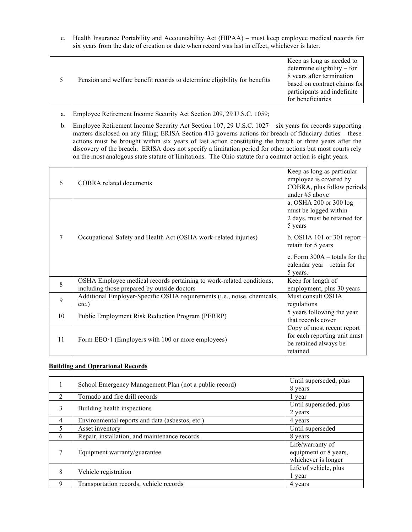c. Health Insurance Portability and Accountability Act (HIPAA) – must keep employee medical records for six years from the date of creation or date when record was last in effect, whichever is later.

| Pension and welfare benefit records to determine eligibility for benefits | Keep as long as needed to<br>determine eligibility $-$ for |
|---------------------------------------------------------------------------|------------------------------------------------------------|
|                                                                           | 8 years after termination<br>based on contract claims for  |
|                                                                           | participants and indefinite                                |
|                                                                           | for beneficiaries                                          |

- a. Employee Retirement Income Security Act Section 209, 29 U.S.C. 1059;
- b. Employee Retirement Income Security Act Section 107, 29 U.S.C. 1027 six years for records supporting matters disclosed on any filing; ERISA Section 413 governs actions for breach of fiduciary duties – these actions must be brought within six years of last action constituting the breach or three years after the discovery of the breach. ERISA does not specify a limitation period for other actions but most courts rely on the most analogous state statute of limitations. The Ohio statute for a contract action is eight years.

| 6            | COBRA related documents                                                                                             | Keep as long as particular<br>employee is covered by<br>COBRA, plus follow periods<br>under #5 above |
|--------------|---------------------------------------------------------------------------------------------------------------------|------------------------------------------------------------------------------------------------------|
|              |                                                                                                                     | a. OSHA 200 or 300 $log -$<br>must be logged within<br>2 days, must be retained for<br>5 years       |
|              | Occupational Safety and Health Act (OSHA work-related injuries)                                                     | b. OSHA 101 or 301 report $-$<br>retain for 5 years                                                  |
|              |                                                                                                                     | c. Form $300A -$ totals for the<br>calendar year – retain for<br>5 years.                            |
| $\mathbf{8}$ | OSHA Employee medical records pertaining to work-related conditions,<br>including those prepared by outside doctors | Keep for length of<br>employment, plus 30 years                                                      |
| 9            | Additional Employer-Specific OSHA requirements (i.e., noise, chemicals,<br>$etc.$ )                                 | Must consult OSHA<br>regulations                                                                     |
| 10           | Public Employment Risk Reduction Program (PERRP)                                                                    | 5 years following the year<br>that records cover                                                     |
| 11           | Form EEO $\cdot$ 1 (Employers with 100 or more employees)                                                           | Copy of most recent report<br>for each reporting unit must<br>be retained always be<br>retained      |

#### **Building and Operational Records**

|                             | School Emergency Management Plan (not a public record) | Until superseded, plus |
|-----------------------------|--------------------------------------------------------|------------------------|
|                             |                                                        | 8 years                |
| $\mathcal{D}_{\mathcal{L}}$ | Tornado and fire drill records                         | l year                 |
| 3                           | Building health inspections                            | Until superseded, plus |
|                             |                                                        | 2 years                |
| 4                           | Environmental reports and data (asbestos, etc.)        | 4 years                |
| 5                           | Asset inventory                                        | Until superseded       |
| 6                           | Repair, installation, and maintenance records          | 8 years                |
|                             | Equipment warranty/guarantee                           | Life/warranty of       |
|                             |                                                        | equipment or 8 years,  |
|                             |                                                        | whichever is longer    |
| 8                           | Vehicle registration                                   | Life of vehicle, plus  |
|                             |                                                        | l year                 |
| 9                           | Transportation records, vehicle records                | 4 years                |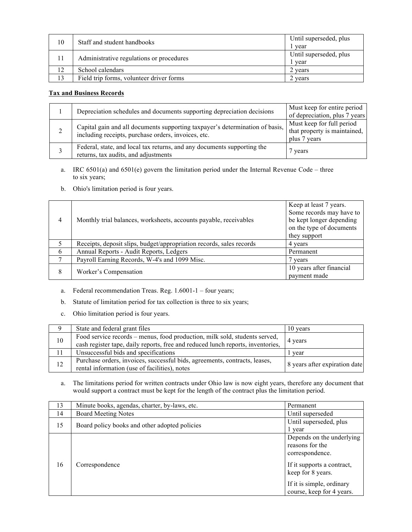| 10 | Staff and student handbooks              | Until superseded, plus<br>vear |
|----|------------------------------------------|--------------------------------|
|    | Administrative regulations or procedures | Until superseded, plus<br>vear |
| 12 | School calendars                         | 2 years                        |
| 13 | Field trip forms, volunteer driver forms | 2 years                        |

#### **Tax and Business Records**

|   | Depreciation schedules and documents supporting depreciation decisions                                                              | Must keep for entire period<br>of depreciation, plus 7 years              |
|---|-------------------------------------------------------------------------------------------------------------------------------------|---------------------------------------------------------------------------|
| ∠ | Capital gain and all documents supporting taxpayer's determination of basis,<br>including receipts, purchase orders, invoices, etc. | Must keep for full period<br>that property is maintained,<br>plus 7 years |
|   | Federal, state, and local tax returns, and any documents supporting the<br>returns, tax audits, and adjustments                     | 7 years                                                                   |

- a. IRC 6501(a) and 6501(e) govern the limitation period under the Internal Revenue Code three to six years;
- b. Ohio's limitation period is four years.

| $\overline{4}$ | Monthly trial balances, worksheets, accounts payable, receivables    | Keep at least 7 years.<br>Some records may have to<br>be kept longer depending<br>on the type of documents<br>they support |
|----------------|----------------------------------------------------------------------|----------------------------------------------------------------------------------------------------------------------------|
| 5              | Receipts, deposit slips, budget/appropriation records, sales records | 4 years                                                                                                                    |
| 6              | Annual Reports - Audit Reports, Ledgers                              | Permanent                                                                                                                  |
|                | Payroll Earning Records, W-4's and 1099 Misc.                        | 7 years                                                                                                                    |
| 8              | Worker's Compensation                                                | 10 years after financial<br>payment made                                                                                   |

- a. Federal recommendation Treas. Reg. 1.6001-1 four years;
- b. Statute of limitation period for tax collection is three to six years;
- c. Ohio limitation period is four years.

| 9  | State and federal grant files                                                                                                                                 | 10 years                      |
|----|---------------------------------------------------------------------------------------------------------------------------------------------------------------|-------------------------------|
| 10 | Food service records – menus, food production, milk sold, students served,<br>cash register tape, daily reports, free and reduced lunch reports, inventories, | 4 years                       |
| 11 | Unsuccessful bids and specifications                                                                                                                          | r vear                        |
| 12 | Purchase orders, invoices, successful bids, agreements, contracts, leases,<br>rental information (use of facilities), notes                                   | 8 years after expiration date |

a. The limitations period for written contracts under Ohio law is now eight years, therefore any document that would support a contract must be kept for the length of the contract plus the limitation period.

| 13 | Minute books, agendas, charter, by-laws, etc. | Permanent                                                       |
|----|-----------------------------------------------|-----------------------------------------------------------------|
| 14 | <b>Board Meeting Notes</b>                    | Until superseded                                                |
| 15 | Board policy books and other adopted policies | Until superseded, plus<br>l year                                |
| 16 | Correspondence                                | Depends on the underlying<br>reasons for the<br>correspondence. |
|    |                                               | If it supports a contract,<br>keep for 8 years.                 |
|    |                                               | If it is simple, ordinary<br>course, keep for 4 years.          |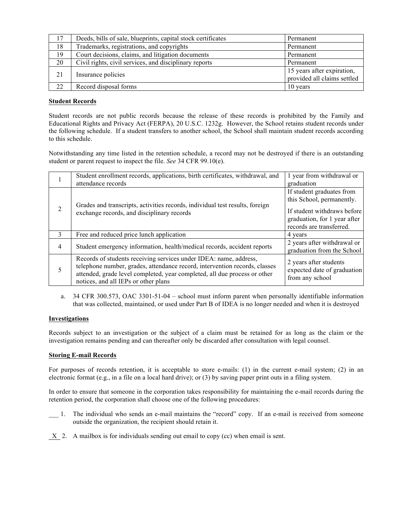| 17 | Deeds, bills of sale, blueprints, capital stock certificates | Permanent                                                 |
|----|--------------------------------------------------------------|-----------------------------------------------------------|
| 18 | Trademarks, registrations, and copyrights                    | Permanent                                                 |
| 19 | Court decisions, claims, and litigation documents            | Permanent                                                 |
| 20 | Civil rights, civil services, and disciplinary reports       | Permanent                                                 |
| 21 | Insurance policies                                           | 15 years after expiration,<br>provided all claims settled |
| 22 | Record disposal forms                                        | 10 years                                                  |

#### **Student Records**

Student records are not public records because the release of these records is prohibited by the Family and Educational Rights and Privacy Act (FERPA), 20 U.S.C. 1232g. However, the School retains student records under the following schedule. If a student transfers to another school, the School shall maintain student records according to this schedule.

Notwithstanding any time listed in the retention schedule, a record may not be destroyed if there is an outstanding student or parent request to inspect the file. *See* 34 CFR 99.10(e).

|                | Student enrollment records, applications, birth certificates, withdrawal, and<br>attendance records                                                                                                                                                                  | 1 year from withdrawal or<br>graduation                                                                                                           |
|----------------|----------------------------------------------------------------------------------------------------------------------------------------------------------------------------------------------------------------------------------------------------------------------|---------------------------------------------------------------------------------------------------------------------------------------------------|
| 2              | Grades and transcripts, activities records, individual test results, foreign<br>exchange records, and disciplinary records                                                                                                                                           | If student graduates from<br>this School, permanently.<br>If student withdraws before<br>graduation, for 1 year after<br>records are transferred. |
| $\mathcal{E}$  | Free and reduced price lunch application                                                                                                                                                                                                                             | 4 years                                                                                                                                           |
| $\overline{4}$ | Student emergency information, health/medical records, accident reports                                                                                                                                                                                              | 2 years after withdrawal or<br>graduation from the School                                                                                         |
| 5              | Records of students receiving services under IDEA: name, address,<br>telephone number, grades, attendance record, intervention records, classes<br>attended, grade level completed, year completed, all due process or other<br>notices, and all IEPs or other plans | 2 years after students<br>expected date of graduation<br>from any school                                                                          |

a. 34 CFR 300.573, OAC 3301-51-04 – school must inform parent when personally identifiable information that was collected, maintained, or used under Part B of IDEA is no longer needed and when it is destroyed

#### **Investigations**

Records subject to an investigation or the subject of a claim must be retained for as long as the claim or the investigation remains pending and can thereafter only be discarded after consultation with legal counsel.

#### **Storing E-mail Records**

For purposes of records retention, it is acceptable to store e-mails: (1) in the current e-mail system; (2) in an electronic format (e.g., in a file on a local hard drive); or (3) by saving paper print outs in a filing system.

In order to ensure that someone in the corporation takes responsibility for maintaining the e-mail records during the retention period, the corporation shall choose one of the following procedures:

- \_\_\_ 1. The individual who sends an e-mail maintains the "record" copy. If an e-mail is received from someone outside the organization, the recipient should retain it.
- X 2. A mailbox is for individuals sending out email to copy (cc) when email is sent.